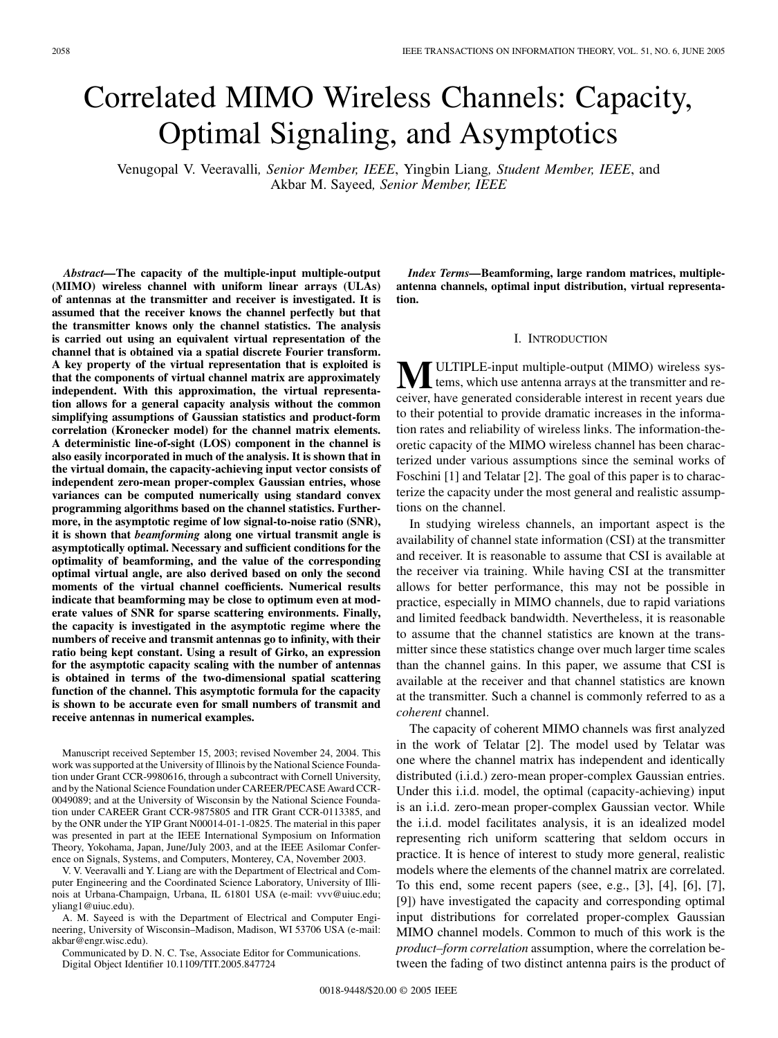# Correlated MIMO Wireless Channels: Capacity, Optimal Signaling, and Asymptotics

Venugopal V. Veeravalli*, Senior Member, IEEE*, Yingbin Liang*, Student Member, IEEE*, and Akbar M. Sayeed*, Senior Member, IEEE*

*Abstract—***The capacity of the multiple-input multiple-output (MIMO) wireless channel with uniform linear arrays (ULAs) of antennas at the transmitter and receiver is investigated. It is assumed that the receiver knows the channel perfectly but that the transmitter knows only the channel statistics. The analysis is carried out using an equivalent virtual representation of the channel that is obtained via a spatial discrete Fourier transform. A key property of the virtual representation that is exploited is that the components of virtual channel matrix are approximately independent. With this approximation, the virtual representation allows for a general capacity analysis without the common simplifying assumptions of Gaussian statistics and product-form correlation (Kronecker model) for the channel matrix elements. A deterministic line-of-sight (LOS) component in the channel is also easily incorporated in much of the analysis. It is shown that in the virtual domain, the capacity-achieving input vector consists of independent zero-mean proper-complex Gaussian entries, whose variances can be computed numerically using standard convex programming algorithms based on the channel statistics. Furthermore, in the asymptotic regime of low signal-to-noise ratio (SNR), it is shown that** *beamforming* **along one virtual transmit angle is asymptotically optimal. Necessary and sufficient conditions for the optimality of beamforming, and the value of the corresponding optimal virtual angle, are also derived based on only the second moments of the virtual channel coefficients. Numerical results indicate that beamforming may be close to optimum even at moderate values of SNR for sparse scattering environments. Finally, the capacity is investigated in the asymptotic regime where the numbers of receive and transmit antennas go to infinity, with their ratio being kept constant. Using a result of Girko, an expression for the asymptotic capacity scaling with the number of antennas is obtained in terms of the two-dimensional spatial scattering function of the channel. This asymptotic formula for the capacity is shown to be accurate even for small numbers of transmit and receive antennas in numerical examples.**

Manuscript received September 15, 2003; revised November 24, 2004. This work was supported at the University of Illinois by the National Science Foundation under Grant CCR-9980616, through a subcontract with Cornell University, and by the National Science Foundation under CAREER/PECASE Award CCR-0049089; and at the University of Wisconsin by the National Science Foundation under CAREER Grant CCR-9875805 and ITR Grant CCR-0113385, and by the ONR under the YIP Grant N00014-01-1-0825. The material in this paper was presented in part at the IEEE International Symposium on Information Theory, Yokohama, Japan, June/July 2003, and at the IEEE Asilomar Conference on Signals, Systems, and Computers, Monterey, CA, November 2003.

V. V. Veeravalli and Y. Liang are with the Department of Electrical and Computer Engineering and the Coordinated Science Laboratory, University of Illinois at Urbana-Champaign, Urbana, IL 61801 USA (e-mail: vvv@uiuc.edu; yliang1@uiuc.edu).

A. M. Sayeed is with the Department of Electrical and Computer Engineering, University of Wisconsin–Madison, Madison, WI 53706 USA (e-mail: akbar@engr.wisc.edu).

*Index Terms—***Beamforming, large random matrices, multipleantenna channels, optimal input distribution, virtual representation.**

## I. INTRODUCTION

**M**ULTIPLE-input multiple-output (MIMO) wireless sys-<br>tems, which use antenna arrays at the transmitter and re-<br>silium have a constant considerable interest in anomatogene due ceiver, have generated considerable interest in recent years due to their potential to provide dramatic increases in the information rates and reliability of wireless links. The information-theoretic capacity of the MIMO wireless channel has been characterized under various assumptions since the seminal works of Foschini [\[1](#page-14-0)] and Telatar [[2\]](#page-14-0). The goal of this paper is to characterize the capacity under the most general and realistic assumptions on the channel.

In studying wireless channels, an important aspect is the availability of channel state information (CSI) at the transmitter and receiver. It is reasonable to assume that CSI is available at the receiver via training. While having CSI at the transmitter allows for better performance, this may not be possible in practice, especially in MIMO channels, due to rapid variations and limited feedback bandwidth. Nevertheless, it is reasonable to assume that the channel statistics are known at the transmitter since these statistics change over much larger time scales than the channel gains. In this paper, we assume that CSI is available at the receiver and that channel statistics are known at the transmitter. Such a channel is commonly referred to as a *coherent* channel.

The capacity of coherent MIMO channels was first analyzed in the work of Telatar [\[2](#page-14-0)]. The model used by Telatar was one where the channel matrix has independent and identically distributed (i.i.d.) zero-mean proper-complex Gaussian entries. Under this i.i.d. model, the optimal (capacity-achieving) input is an i.i.d. zero-mean proper-complex Gaussian vector. While the i.i.d. model facilitates analysis, it is an idealized model representing rich uniform scattering that seldom occurs in practice. It is hence of interest to study more general, realistic models where the elements of the channel matrix are correlated. To this end, some recent papers (see, e.g., [[3\]](#page-14-0), [\[4](#page-14-0)], [[6\]](#page-14-0), [[7\]](#page-14-0), [[9\]](#page-14-0)) have investigated the capacity and corresponding optimal input distributions for correlated proper-complex Gaussian MIMO channel models. Common to much of this work is the *product–form correlation* assumption, where the correlation between the fading of two distinct antenna pairs is the product of

Communicated by D. N. C. Tse, Associate Editor for Communications. Digital Object Identifier 10.1109/TIT.2005.847724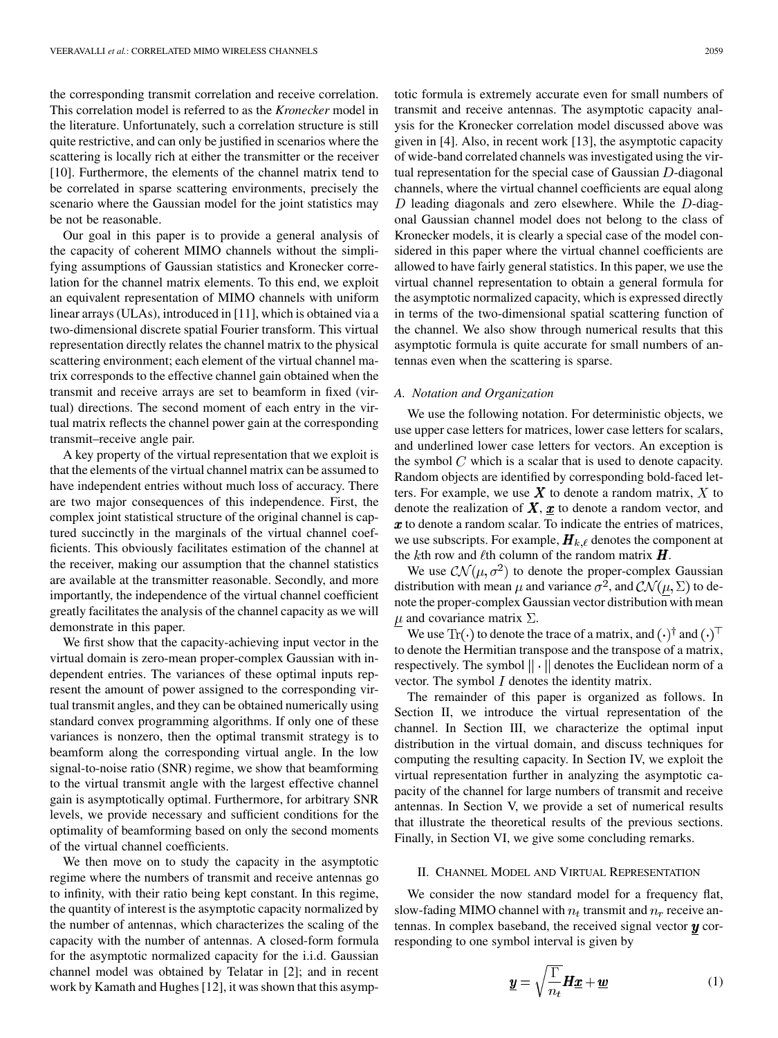the corresponding transmit correlation and receive correlation. This correlation model is referred to as the *Kronecker* model in the literature. Unfortunately, such a correlation structure is still quite restrictive, and can only be justified in scenarios where the scattering is locally rich at either the transmitter or the receiver [\[10](#page-14-0)]. Furthermore, the elements of the channel matrix tend to be correlated in sparse scattering environments, precisely the scenario where the Gaussian model for the joint statistics may be not be reasonable.

Our goal in this paper is to provide a general analysis of the capacity of coherent MIMO channels without the simplifying assumptions of Gaussian statistics and Kronecker correlation for the channel matrix elements. To this end, we exploit an equivalent representation of MIMO channels with uniform linear arrays (ULAs), introduced in [[11\]](#page-14-0), which is obtained via a two-dimensional discrete spatial Fourier transform. This virtual representation directly relates the channel matrix to the physical scattering environment; each element of the virtual channel matrix corresponds to the effective channel gain obtained when the transmit and receive arrays are set to beamform in fixed (virtual) directions. The second moment of each entry in the virtual matrix reflects the channel power gain at the corresponding transmit–receive angle pair.

A key property of the virtual representation that we exploit is that the elements of the virtual channel matrix can be assumed to have independent entries without much loss of accuracy. There are two major consequences of this independence. First, the complex joint statistical structure of the original channel is captured succinctly in the marginals of the virtual channel coefficients. This obviously facilitates estimation of the channel at the receiver, making our assumption that the channel statistics are available at the transmitter reasonable. Secondly, and more importantly, the independence of the virtual channel coefficient greatly facilitates the analysis of the channel capacity as we will demonstrate in this paper.

We first show that the capacity-achieving input vector in the virtual domain is zero-mean proper-complex Gaussian with independent entries. The variances of these optimal inputs represent the amount of power assigned to the corresponding virtual transmit angles, and they can be obtained numerically using standard convex programming algorithms. If only one of these variances is nonzero, then the optimal transmit strategy is to beamform along the corresponding virtual angle. In the low signal-to-noise ratio (SNR) regime, we show that beamforming to the virtual transmit angle with the largest effective channel gain is asymptotically optimal. Furthermore, for arbitrary SNR levels, we provide necessary and sufficient conditions for the optimality of beamforming based on only the second moments of the virtual channel coefficients.

We then move on to study the capacity in the asymptotic regime where the numbers of transmit and receive antennas go to infinity, with their ratio being kept constant. In this regime, the quantity of interest is the asymptotic capacity normalized by the number of antennas, which characterizes the scaling of the capacity with the number of antennas. A closed-form formula for the asymptotic normalized capacity for the i.i.d. Gaussian channel model was obtained by Telatar in [[2\]](#page-14-0); and in recent work by Kamath and Hughes [\[12](#page-14-0)], it was shown that this asymptotic formula is extremely accurate even for small numbers of transmit and receive antennas. The asymptotic capacity analysis for the Kronecker correlation model discussed above was given in [\[4\]](#page-14-0). Also, in recent work [[13\]](#page-14-0), the asymptotic capacity of wide-band correlated channels was investigated using the virtual representation for the special case of Gaussian  $D$ -diagonal channels, where the virtual channel coefficients are equal along D leading diagonals and zero elsewhere. While the  $D$ -diagonal Gaussian channel model does not belong to the class of Kronecker models, it is clearly a special case of the model considered in this paper where the virtual channel coefficients are allowed to have fairly general statistics. In this paper, we use the virtual channel representation to obtain a general formula for the asymptotic normalized capacity, which is expressed directly in terms of the two-dimensional spatial scattering function of the channel. We also show through numerical results that this asymptotic formula is quite accurate for small numbers of antennas even when the scattering is sparse.

### *A. Notation and Organization*

We use the following notation. For deterministic objects, we use upper case letters for matrices, lower case letters for scalars, and underlined lower case letters for vectors. An exception is the symbol  $C$  which is a scalar that is used to denote capacity. Random objects are identified by corresponding bold-faced letters. For example, we use  $\boldsymbol{X}$  to denote a random matrix, X to denote the realization of  $X, x$  to denote a random vector, and  $x$  to denote a random scalar. To indicate the entries of matrices, we use subscripts. For example,  $H_{k,\ell}$  denotes the component at the kth row and lth column of the random matrix  $H$ .

We use  $\mathcal{CN}(\mu, \sigma^2)$  to denote the proper-complex Gaussian distribution with mean  $\mu$  and variance  $\sigma^2$ , and  $\mathcal{CN}(\mu, \Sigma)$  to denote the proper-complex Gaussian vector distribution with mean  $\mu$  and covariance matrix  $\Sigma$ .

We use  $\text{Tr}(\cdot)$  to denote the trace of a matrix, and  $(\cdot)^\dagger$  and  $(\cdot)^\dagger$ to denote the Hermitian transpose and the transpose of a matrix, respectively. The symbol  $\|\cdot\|$  denotes the Euclidean norm of a vector. The symbol  $I$  denotes the identity matrix.

The remainder of this paper is organized as follows. In Section II, we introduce the virtual representation of the channel. In Section III, we characterize the optimal input distribution in the virtual domain, and discuss techniques for computing the resulting capacity. In Section IV, we exploit the virtual representation further in analyzing the asymptotic capacity of the channel for large numbers of transmit and receive antennas. In Section V, we provide a set of numerical results that illustrate the theoretical results of the previous sections. Finally, in Section VI, we give some concluding remarks.

## II. CHANNEL MODEL AND VIRTUAL REPRESENTATION

We consider the now standard model for a frequency flat, slow-fading MIMO channel with  $n_t$  transmit and  $n_r$  receive antennas. In complex baseband, the received signal vector  $y$  corresponding to one symbol interval is given by

$$
\underline{\boldsymbol{y}} = \sqrt{\frac{\Gamma}{n_t}} \boldsymbol{H} \underline{\boldsymbol{x}} + \underline{\boldsymbol{w}} \tag{1}
$$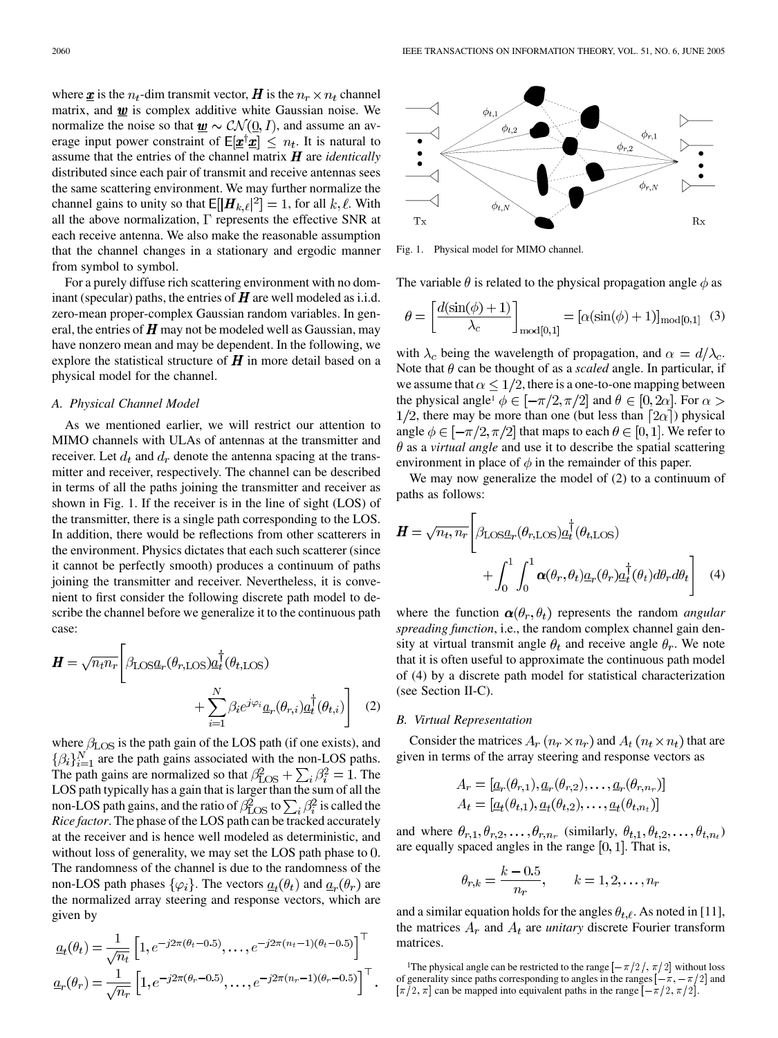where  $\underline{x}$  is the  $n_t$ -dim transmit vector,  $H$  is the  $n_r \times n_t$  channel matrix, and  $\underline{w}$  is complex additive white Gaussian noise. We normalize the noise so that  $\underline{\mathbf{w}} \sim \mathcal{CN}(\underline{0}, I)$ , and assume an average input power constraint of  $E[\underline{\pmb{x}}^{\dagger}\underline{\pmb{x}}] \leq n_t$ . It is natural to assume that the entries of the channel matrix  $\boldsymbol{H}$  are *identically* distributed since each pair of transmit and receive antennas sees the same scattering environment. We may further normalize the channel gains to unity so that  $E[|H_{k,\ell}|^2] = 1$ , for all  $k,\ell$ . With all the above normalization,  $\Gamma$  represents the effective SNR at each receive antenna. We also make the reasonable assumption that the channel changes in a stationary and ergodic manner from symbol to symbol.

For a purely diffuse rich scattering environment with no dominant (specular) paths, the entries of  $\boldsymbol{H}$  are well modeled as i.i.d. zero-mean proper-complex Gaussian random variables. In general, the entries of  $H$  may not be modeled well as Gaussian, may have nonzero mean and may be dependent. In the following, we explore the statistical structure of  $\boldsymbol{H}$  in more detail based on a physical model for the channel.

## *A. Physical Channel Model*

As we mentioned earlier, we will restrict our attention to MIMO channels with ULAs of antennas at the transmitter and receiver. Let  $d_t$  and  $d_r$  denote the antenna spacing at the transmitter and receiver, respectively. The channel can be described in terms of all the paths joining the transmitter and receiver as shown in Fig. 1. If the receiver is in the line of sight (LOS) of the transmitter, there is a single path corresponding to the LOS. In addition, there would be reflections from other scatterers in the environment. Physics dictates that each such scatterer (since it cannot be perfectly smooth) produces a continuum of paths joining the transmitter and receiver. Nevertheless, it is convenient to first consider the following discrete path model to describe the channel before we generalize it to the continuous path case:

$$
\mathbf{H} = \sqrt{n_t n_r} \left[ \beta_{\text{LOS}} \underline{a}_r(\theta_{r,\text{LOS}}) \underline{a}_t^{\dagger}(\theta_{t,\text{LOS}}) + \sum_{i=1}^N \beta_i e^{j\varphi_i} \underline{a}_r(\theta_{r,i}) \underline{a}_t^{\dagger}(\theta_{t,i}) \right]
$$
(2)

where  $\beta_{\text{LOS}}$  is the path gain of the LOS path (if one exists), and  $\{\beta_i\}_{i=1}^N$  are the path gains associated with the non-LOS paths. The path gains are normalized so that  $\beta_{\text{LOS}}^2 + \sum_i \beta_i^2 = 1$ . The LOS path typically has a gain that is larger than the sum of all the non-LOS path gains, and the ratio of  $\beta_{\text{LOS}}^2$  to  $\sum_i \beta_i^2$  is called the *Rice factor*. The phase of the LOS path can be tracked accurately at the receiver and is hence well modeled as deterministic, and without loss of generality, we may set the LOS path phase to  $0$ . The randomness of the channel is due to the randomness of the non-LOS path phases  $\{\varphi_i\}$ . The vectors  $\underline{a}_t(\theta_t)$  and  $\underline{a}_r(\theta_r)$  are the normalized array steering and response vectors, which are given by

$$
\underline{a}_t(\theta_t) = \frac{1}{\sqrt{n_t}} \left[ 1, e^{-j2\pi(\theta_t - 0.5)}, \dots, e^{-j2\pi(n_t - 1)(\theta_t - 0.5)} \right]^\top
$$

$$
\underline{a}_r(\theta_r) = \frac{1}{\sqrt{n_r}} \left[ 1, e^{-j2\pi(\theta_r - 0.5)}, \dots, e^{-j2\pi(n_r - 1)(\theta_r - 0.5)} \right]^\top.
$$



Fig. 1. Physical model for MIMO channel.

The variable  $\theta$  is related to the physical propagation angle  $\phi$  as

$$
\theta = \left[ \frac{d(\sin(\phi) + 1)}{\lambda_c} \right]_{\text{mod}[0,1]} = [\alpha(\sin(\phi) + 1)]_{\text{mod}[0,1]} \quad (3)
$$

with  $\lambda_c$  being the wavelength of propagation, and  $\alpha = d/\lambda_c$ . Note that  $\theta$  can be thought of as a *scaled* angle. In particular, if we assume that  $\alpha \leq 1/2$ , there is a one-to-one mapping between the physical angle<sup>1</sup>  $\phi \in [-\pi/2, \pi/2]$  and  $\theta \in [0, 2\alpha]$ . For  $\alpha >$  $1/2$ , there may be more than one (but less than  $\lceil 2\alpha \rceil$ ) physical angle  $\phi \in [-\pi/2, \pi/2]$  that maps to each  $\theta \in [0, 1]$ . We refer to  $\theta$  as a *virtual angle* and use it to describe the spatial scattering environment in place of  $\phi$  in the remainder of this paper.

We may now generalize the model of  $(2)$  to a continuum of paths as follows:

$$
\mathbf{H} = \sqrt{n_t, n_r} \left[ \beta_{\text{LOS}} \underline{a}_r(\theta_{r,\text{LOS}}) \underline{a}_t^{\dagger}(\theta_{t,\text{LOS}}) + \int_0^1 \int_0^1 \alpha(\theta_r, \theta_t) \underline{a}_r(\theta_r) \underline{a}_t^{\dagger}(\theta_t) d\theta_r d\theta_t \right]
$$
(4)

where the function  $\alpha(\theta_r, \theta_t)$  represents the random *angular spreading function*, i.e., the random complex channel gain density at virtual transmit angle  $\theta_t$  and receive angle  $\theta_r$ . We note that it is often useful to approximate the continuous path model of (4) by a discrete path model for statistical characterization (see Section II-C).

## *B. Virtual Representation*

Consider the matrices  $A_r$   $(n_r \times n_r)$  and  $A_t$   $(n_t \times n_t)$  that are given in terms of the array steering and response vectors as

$$
A_r = [\underline{a}_r(\theta_{r,1}), \underline{a}_r(\theta_{r,2}), \dots, \underline{a}_r(\theta_{r,n_r})]
$$
  

$$
A_t = [\underline{a}_t(\theta_{t,1}), \underline{a}_t(\theta_{t,2}), \dots, \underline{a}_t(\theta_{t,n_t})]
$$

and where  $\theta_{r,1}, \theta_{r,2}, \dots, \theta_{r,n_r}$  (similarly,  $\theta_{t,1}, \theta_{t,2}, \dots, \theta_{t,n_t}$ ) are equally spaced angles in the range  $[0, 1]$ . That is,

$$
\theta_{r,k} = \frac{k - 0.5}{n_r}, \qquad k = 1, 2, \dots, n_r
$$

and a similar equation holds for the angles  $\theta_{t,\ell}$ . As noted in [[11\]](#page-14-0), the matrices  $A_r$  and  $A_t$  are *unitary* discrete Fourier transform matrices. e matrices  $A_r$  and  $A_t$  are *unitary* discrete Fourier transform<br>atrices.<br><sup>1</sup>The physical angle can be restricted to the range  $[-\pi/2/\pi/2]$  without loss

matrices.<br><sup>1</sup>The physical angle can be restricted to the range  $[-\pi/2/$ ,  $\pi/2]$  without loss of generality since paths corresponding to angles in the ranges  $[-\pi, -\pi/2]$  and <sup>1</sup>The physical angle can be restricted to the range  $[-\pi/2, \pi/2]$  without of generality since paths corresponding to angles in the ranges  $[-\pi, -\pi/2, \pi]$ .  $[\pi/2, \pi]$  can be mapped into equivalent paths in the range  $[-\pi/$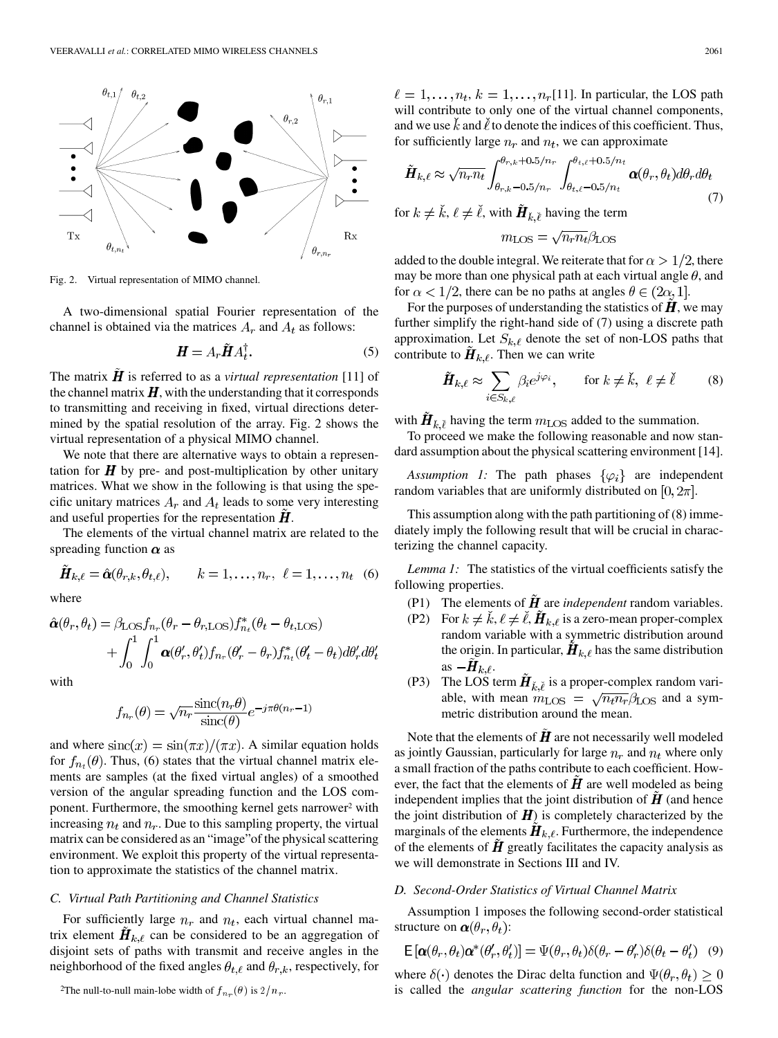

Fig. 2. Virtual representation of MIMO channel.

A two-dimensional spatial Fourier representation of the channel is obtained via the matrices  $A_r$  and  $A_t$  as follows:

$$
\mathbf{H} = A_r \dot{\mathbf{H}} A_t^{\dagger}.
$$
 (5)

The matrix  $\tilde{H}$  is referred to as a *virtual representation* [[11\]](#page-14-0) of the channel matrix  $\boldsymbol{H}$ , with the understanding that it corresponds to transmitting and receiving in fixed, virtual directions determined by the spatial resolution of the array. Fig. 2 shows the virtual representation of a physical MIMO channel.

We note that there are alternative ways to obtain a representation for  $\bm{H}$  by pre- and post-multiplication by other unitary matrices. What we show in the following is that using the specific unitary matrices  $A_r$  and  $A_t$  leads to some very interesting and useful properties for the representation  $\boldsymbol{H}$ .

The elements of the virtual channel matrix are related to the spreading function  $\alpha$  as

$$
\tilde{\boldsymbol{H}}_{k,\ell} = \hat{\boldsymbol{\alpha}}(\theta_{r,k},\theta_{t,\ell}), \qquad k = 1,\ldots,n_r, \ \ell = 1,\ldots,n_t \ \ (6)
$$

where

$$
\hat{\alpha}(\theta_r, \theta_t) = \beta_{\text{LOS}} f_{n_r}(\theta_r - \theta_{r,\text{LOS}}) f_{n_t}^*(\theta_t - \theta_{t,\text{LOS}})
$$

$$
+ \int_0^1 \int_0^1 \alpha(\theta'_r, \theta'_t) f_{n_r}(\theta'_r - \theta_r) f_{n_t}^*(\theta'_t - \theta_t) d\theta'_r d\theta'_t
$$

with

$$
f_{n_r}(\theta) = \sqrt{n_r} \frac{\text{sinc}(n_r \theta)}{\text{sinc}(\theta)} e^{-j\pi \theta (n_r - 1)}
$$

and where  $\operatorname{sinc}(x) = \sin(\pi x)/(\pi x)$ . A similar equation holds for  $f_{n+}(\theta)$ . Thus, (6) states that the virtual channel matrix elements are samples (at the fixed virtual angles) of a smoothed version of the angular spreading function and the LOS component. Furthermore, the smoothing kernel gets narrower<sup>2</sup> with increasing  $n_t$  and  $n_r$ . Due to this sampling property, the virtual matrix can be considered as an "image"of the physical scattering environment. We exploit this property of the virtual representation to approximate the statistics of the channel matrix.

## *C. Virtual Path Partitioning and Channel Statistics*

For sufficiently large  $n_r$  and  $n_t$ , each virtual channel matrix element  $H_{k,\ell}$  can be considered to be an aggregation of disjoint sets of paths with transmit and receive angles in the neighborhood of the fixed angles  $\theta_{t,\ell}$  and  $\theta_{r,k}$ , respectively, for

<sup>2</sup>The null-to-null main-lobe width of  $f_{n_r}(\theta)$  is  $2/n_r$ .

 $\ell = 1, \ldots, n_t, k = 1, \ldots, n_r$ [[11\]](#page-14-0). In particular, the LOS path will contribute to only one of the virtual channel components, and we use  $\vec{k}$  and  $\vec{l}$  to denote the indices of this coefficient. Thus, for sufficiently large  $n_r$  and  $n_t$ , we can approximate

$$
\tilde{H}_{k,\ell} \approx \sqrt{n_r n_t} \int_{\theta_{r,k} - 0.5/n_r}^{\theta_{r,k} + 0.5/n_r} \int_{\theta_{t,\ell} - 0.5/n_t}^{\theta_{t,\ell} + 0.5/n_t} \alpha(\theta_r, \theta_t) d\theta_r d\theta_t
$$
\nfor  $k \neq \check{k}, \ell \neq \check{\ell}$ , with  $\tilde{H}_{\check{k},\check{\ell}}$  having the term\n
$$
(7)
$$

$$
m_{\text{LOS}} = \sqrt{n_r n_t} \beta_{\text{LOS}}
$$

added to the double integral. We reiterate that for  $\alpha > 1/2$ , there may be more than one physical path at each virtual angle  $\theta$ , and for  $\alpha < 1/2$ , there can be no paths at angles  $\theta \in (2\alpha, 1]$ .

For the purposes of understanding the statistics of  $H$ , we may further simplify the right-hand side of (7) using a discrete path approximation. Let  $S_{k,\ell}$  denote the set of non-LOS paths that contribute to  $H_{k,\ell}$ . Then we can write

$$
\tilde{\boldsymbol{H}}_{k,\ell} \approx \sum_{i \in S_{k,\ell}} \beta_i e^{j\varphi_i}, \qquad \text{for } k \neq \check{k}, \ \ell \neq \check{\ell} \tag{8}
$$

with  $H_{\tilde{k},\tilde{\ell}}$  having the term  $m_{\text{LOS}}$  added to the summation.

To proceed we make the following reasonable and now standard assumption about the physical scattering environment [\[14](#page-14-0)].

*Assumption 1:* The path phases  $\{\varphi_i\}$  are independent random variables that are uniformly distributed on  $[0, 2\pi]$ .

This assumption along with the path partitioning of (8) immediately imply the following result that will be crucial in characterizing the channel capacity.

*Lemma 1:* The statistics of the virtual coefficients satisfy the following properties.

- (P1) The elements of  $\hat{H}$  are *independent* random variables.
- (P2) For  $k \neq \check{k}$ ,  $\ell \neq \check{\ell}$ ,  $\tilde{H}_{k,\ell}$  is a zero-mean proper-complex random variable with a symmetric distribution around the origin. In particular,  $\hat{H}_{k,\ell}$  has the same distribution as  $-\boldsymbol{H}_{k,\ell}$ .
- (P3) The LOS term  $\tilde{H}_{\tilde{k},\tilde{\ell}}$  is a proper-complex random variable, with mean  $m_{\text{LOS}} = \sqrt{n_t n_r} \beta_{\text{LOS}}$  and a symmetric distribution around the mean.

Note that the elements of  $\hat{H}$  are not necessarily well modeled as jointly Gaussian, particularly for large  $n_r$  and  $n_t$  where only a small fraction of the paths contribute to each coefficient. However, the fact that the elements of  $H$  are well modeled as being independent implies that the joint distribution of  $\hat{H}$  (and hence the joint distribution of  $H$ ) is completely characterized by the marginals of the elements  $\mathbf{H}_{k,\ell}$ . Furthermore, the independence of the elements of  $\boldsymbol{H}$  greatly facilitates the capacity analysis as we will demonstrate in Sections III and IV.

## *D. Second-Order Statistics of Virtual Channel Matrix*

Assumption 1 imposes the following second-order statistical structure on  $\boldsymbol{\alpha}(\theta_r, \theta_t)$ :

$$
\mathsf{E}\left[\boldsymbol{\alpha}(\theta_r,\theta_t)\boldsymbol{\alpha}^*(\theta_r',\theta_t')\right] = \Psi(\theta_r,\theta_t)\delta(\theta_r - \theta_r')\delta(\theta_t - \theta_t') \tag{9}
$$

where  $\delta(\cdot)$  denotes the Dirac delta function and  $\Psi(\theta_r, \theta_t) > 0$ is called the *angular scattering function* for the non-LOS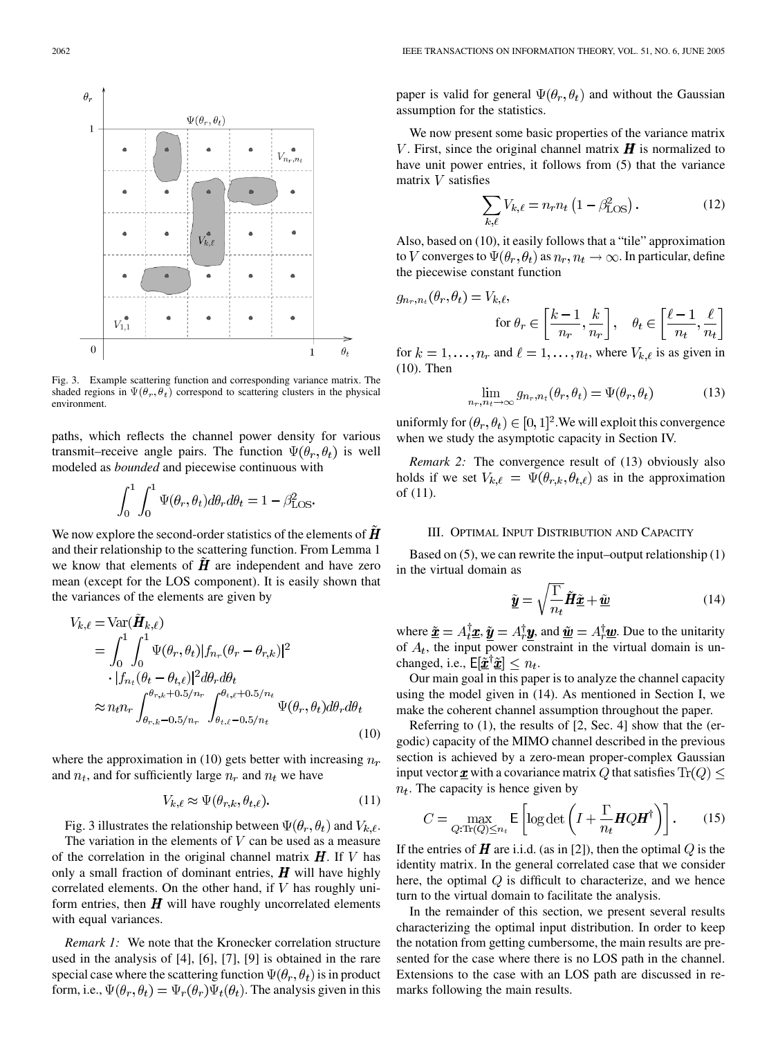

Fig. 3. Example scattering function and corresponding variance matrix. The shaded regions in  $\Psi(\theta_r, \theta_t)$  correspond to scattering clusters in the physical environment.

paths, which reflects the channel power density for various transmit–receive angle pairs. The function  $\Psi(\theta_r, \theta_t)$  is well modeled as *bounded* and piecewise continuous with

$$
\int_0^1 \int_0^1 \Psi(\theta_r, \theta_t) d\theta_r d\theta_t = 1 - \beta_{\text{LOS}}^2.
$$

We now explore the second-order statistics of the elements of  $\ddot{H}$ and their relationship to the scattering function. From Lemma 1 we know that elements of  $\hat{H}$  are independent and have zero mean (except for the LOS component). It is easily shown that the variances of the elements are given by

$$
V_{k,\ell} = \text{Var}(\hat{\boldsymbol{H}}_{k,\ell})
$$
  
\n
$$
= \int_0^1 \int_0^1 \Psi(\theta_r, \theta_t) |f_{n_r}(\theta_r - \theta_{r,k})|^2
$$
  
\n
$$
\cdot |f_{n_t}(\theta_t - \theta_{t,\ell})|^2 d\theta_r d\theta_t
$$
  
\n
$$
\approx n_t n_r \int_{\theta_{r,k} - 0.5/n_r}^{\theta_{r,k} + 0.5/n_r} \int_{\theta_{t,\ell} - 0.5/n_t}^{\theta_{t,\ell} + 0.5/n_t} \Psi(\theta_r, \theta_t) d\theta_r d\theta_t
$$
\n(10)

where the approximation in (10) gets better with increasing  $n_r$ and  $n_t$ , and for sufficiently large  $n_r$  and  $n_t$  we have

$$
V_{k,\ell} \approx \Psi(\theta_{r,k}, \theta_{t,\ell}).\tag{11}
$$

Fig. 3 illustrates the relationship between  $\Psi(\theta_r, \theta_t)$  and  $V_{k,\ell}$ .

The variation in the elements of  $V$  can be used as a measure of the correlation in the original channel matrix  $\boldsymbol{H}$ . If V has only a small fraction of dominant entries,  $H$  will have highly correlated elements. On the other hand, if  $V$  has roughly uniform entries, then  $H$  will have roughly uncorrelated elements with equal variances.

*Remark 1:* We note that the Kronecker correlation structure used in the analysis of [[4\]](#page-14-0), [\[6](#page-14-0)], [\[7](#page-14-0)], [[9\]](#page-14-0) is obtained in the rare special case where the scattering function  $\Psi(\theta_r, \theta_t)$  is in product form, i.e.,  $\Psi(\theta_r, \theta_t) = \Psi_r(\theta_r) \Psi_t(\theta_t)$ . The analysis given in this paper is valid for general  $\Psi(\theta_r, \theta_t)$  and without the Gaussian assumption for the statistics.

We now present some basic properties of the variance matrix V. First, since the original channel matrix  $\boldsymbol{H}$  is normalized to have unit power entries, it follows from (5) that the variance matrix  $V$  satisfies

$$
\sum_{k,\ell} V_{k,\ell} = n_r n_t \left( 1 - \beta_{\text{LOS}}^2 \right). \tag{12}
$$

Also, based on (10), it easily follows that a "tile" approximation to V converges to  $\Psi(\theta_r, \theta_t)$  as  $n_r, n_t \to \infty$ . In particular, define the piecewise constant function

$$
g_{n_r,n_t}(\theta_r, \theta_t) = V_{k,\ell},
$$
  
for  $\theta_r \in \left[\frac{k-1}{n_r}, \frac{k}{n_r}\right]$ ,  $\theta_t \in \left[\frac{\ell-1}{n_t}, \frac{\ell}{n_t}\right]$ 

for  $k = 1, ..., n_r$  and  $\ell = 1, ..., n_t$ , where  $V_{k,\ell}$  is as given in (10). Then

$$
\lim_{n_r, n_t \to \infty} g_{n_r, n_t}(\theta_r, \theta_t) = \Psi(\theta_r, \theta_t)
$$
\n(13)

uniformly for  $(\theta_r, \theta_t) \in [0, 1]^2$ . We will exploit this convergence when we study the asymptotic capacity in Section IV.

*Remark 2:* The convergence result of (13) obviously also holds if we set  $V_{k,\ell} = \Psi(\theta_{r,k}, \theta_{t,\ell})$  as in the approximation of (11).

## III. OPTIMAL INPUT DISTRIBUTION AND CAPACITY

Based on (5), we can rewrite the input–output relationship (1) in the virtual domain as

$$
\underline{\tilde{\mathbf{y}}} = \sqrt{\frac{\Gamma}{n_t}} \tilde{\mathbf{H}} \underline{\tilde{\mathbf{x}}} + \underline{\tilde{\mathbf{w}}}
$$
\n(14)

where  $\underline{\tilde{x}} = A_t^{\dagger} \underline{x}, \underline{\tilde{y}} = A_r^{\dagger} \underline{y}$ , and  $\underline{\tilde{w}} = A_r^{\dagger} \underline{w}$ . Due to the unitarity of  $A_t$ , the input power constraint in the virtual domain is unchanged, i.e.,  $E[\underline{\tilde{x}}^{\dagger}\underline{\tilde{x}}] \leq n_t$ .

Our main goal in this paper is to analyze the channel capacity using the model given in (14). As mentioned in Section I, we make the coherent channel assumption throughout the paper.

Referring to (1), the results of [[2,](#page-14-0) Sec. 4] show that the (ergodic) capacity of the MIMO channel described in the previous section is achieved by a zero-mean proper-complex Gaussian input vector  $\underline{\mathbf{x}}$  with a covariance matrix Q that satisfies  $\text{Tr}(Q) \leq \overline{\mathbf{x}}$  $n_t$ . The capacity is hence given by

$$
C = \max_{Q: \text{Tr}(Q) \le n_t} \mathsf{E}\left[\log \det\left(I + \frac{\Gamma}{n_t} \mathbf{H} Q \mathbf{H}^\dagger\right)\right].\tag{15}
$$

If the entries of  $\boldsymbol{H}$  are i.i.d. (as in [\[2](#page-14-0)]), then the optimal  $Q$  is the identity matrix. In the general correlated case that we consider here, the optimal  $Q$  is difficult to characterize, and we hence turn to the virtual domain to facilitate the analysis.

In the remainder of this section, we present several results characterizing the optimal input distribution. In order to keep the notation from getting cumbersome, the main results are presented for the case where there is no LOS path in the channel. Extensions to the case with an LOS path are discussed in remarks following the main results.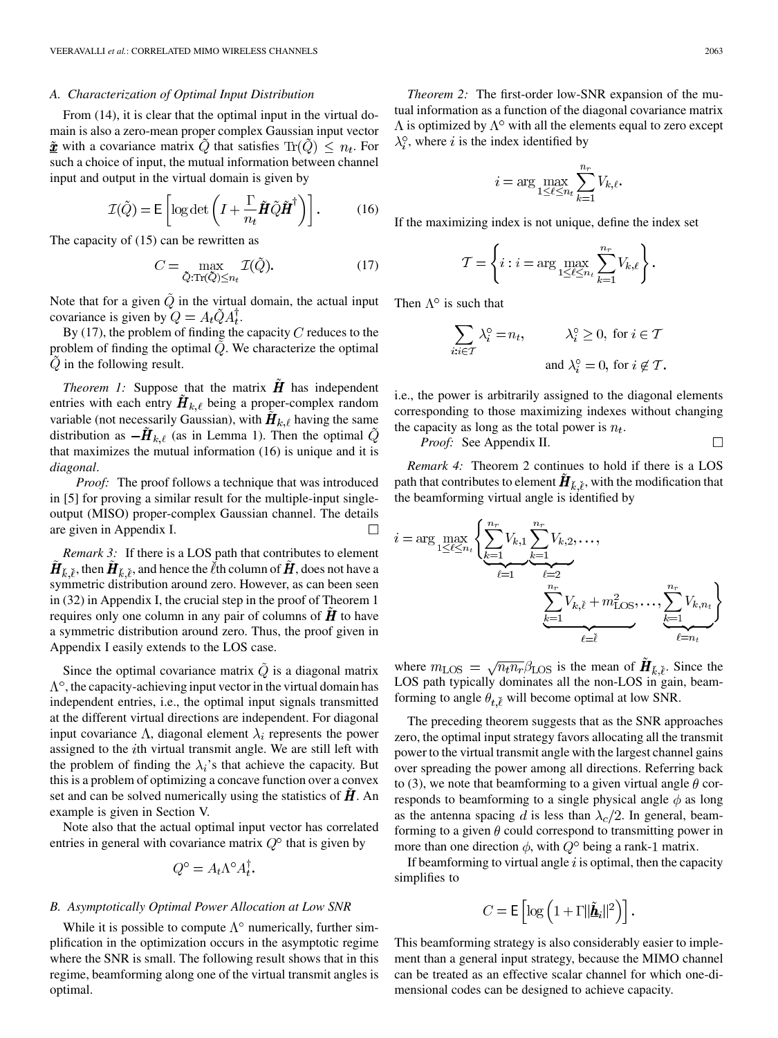## *A. Characterization of Optimal Input Distribution*

From (14), it is clear that the optimal input in the virtual domain is also a zero-mean proper complex Gaussian input vector  $\tilde{\mathbf{x}}$  with a covariance matrix  $\tilde{Q}$  that satisfies  $\text{Tr}(\tilde{Q}) \leq n_t$ . For such a choice of input, the mutual information between channel input and output in the virtual domain is given by

$$
\mathcal{I}(\tilde{Q}) = \mathsf{E}\left[\log \det \left(I + \frac{\Gamma}{n_t} \tilde{H} \tilde{Q} \tilde{H}^\dagger\right)\right].\tag{16}
$$

The capacity of (15) can be rewritten as

$$
C = \max_{\tilde{Q}: \text{Tr}(\tilde{Q}) \le n_t} \mathcal{I}(\tilde{Q}).
$$
 (17)

Note that for a given  $\tilde{Q}$  in the virtual domain, the actual input covariance is given by  $Q = A_t \ddot{Q} A_t^{\dagger}$ .

By (17), the problem of finding the capacity  $C$  reduces to the problem of finding the optimal  $Q$ . We characterize the optimal  $Q$  in the following result.

*Theorem 1:* Suppose that the matrix  $\boldsymbol{H}$  has independent entries with each entry  $\tilde{H}_{k,\ell}$  being a proper-complex random variable (not necessarily Gaussian), with  $\hat{H}_{k,\ell}$  having the same distribution as  $-\mathbf{H}_{k,\ell}$  (as in Lemma 1). Then the optimal Q that maximizes the mutual information (16) is unique and it is *diagonal*.

*Proof:* The proof follows a technique that was introduced in [[5\]](#page-14-0) for proving a similar result for the multiple-input singleoutput (MISO) proper-complex Gaussian channel. The details are given in Appendix I.  $\Box$ 

*Remark 3:* If there is a LOS path that contributes to element  $\hat{\bm{H}}_{k}$  , then  $\hat{\bm{H}}_{k}$  , and hence the  $\hat{\ell}$ th column of  $\hat{\bm{H}}$ , does not have a symmetric distribution around zero. However, as can been seen in (32) in Appendix I, the crucial step in the proof of Theorem 1 requires only one column in any pair of columns of  $\boldsymbol{H}$  to have a symmetric distribution around zero. Thus, the proof given in Appendix I easily extends to the LOS case.

Since the optimal covariance matrix  $\ddot{Q}$  is a diagonal matrix  $\Lambda^{\circ}$ , the capacity-achieving input vector in the virtual domain has independent entries, i.e., the optimal input signals transmitted at the different virtual directions are independent. For diagonal input covariance  $\Lambda$ , diagonal element  $\lambda_i$  represents the power assigned to the  $i$ th virtual transmit angle. We are still left with the problem of finding the  $\lambda_i$ 's that achieve the capacity. But this is a problem of optimizing a concave function over a convex set and can be solved numerically using the statistics of  $\boldsymbol{H}$ . An example is given in Section V.

Note also that the actual optimal input vector has correlated entries in general with covariance matrix  $Q^{\circ}$  that is given by

$$
Q^{\circ} = A_t \Lambda^{\circ} A_t^{\mathsf{T}}.
$$

# *B. Asymptotically Optimal Power Allocation at Low SNR*

While it is possible to compute  $\Lambda^{\circ}$  numerically, further simplification in the optimization occurs in the asymptotic regime where the SNR is small. The following result shows that in this regime, beamforming along one of the virtual transmit angles is optimal.

*Theorem 2:* The first-order low-SNR expansion of the mutual information as a function of the diagonal covariance matrix  $\Lambda$  is optimized by  $\Lambda^{\circ}$  with all the elements equal to zero except  $\lambda_i^{\circ}$ , where i is the index identified by

$$
i = \arg\max_{1 \leq \ell \leq n_t} \sum_{k=1}^{n_r} V_{k,\ell}.
$$

If the maximizing index is not unique, define the index set

$$
\mathcal{T} = \left\{ i : i = \arg \max_{1 \leq \ell \leq n_t} \sum_{k=1}^{n_r} V_{k,\ell} \right\}.
$$

Then  $\Lambda^{\circ}$  is such that

$$
\sum_{i:i\in\mathcal{I}} \lambda_i^\circ = n_t, \qquad \lambda_i^\circ \ge 0, \text{ for } i \in \mathcal{T}
$$
  
and  $\lambda_i^\circ = 0$ , for  $i \notin \mathcal{T}$ .

i.e., the power is arbitrarily assigned to the diagonal elements corresponding to those maximizing indexes without changing the capacity as long as the total power is  $n_t$ .

*Proof:* See Appendix II.

*Remark 4:* Theorem 2 continues to hold if there is a LOS path that contributes to element  $\boldsymbol{H}_{\v{k},\v{k}}$ , with the modification that the beamforming virtual angle is identified by

$$
i = \arg \max_{1 \leq \ell \leq n_t} \left\{ \underbrace{\sum_{k=1}^{n_r} V_{k,1}}_{\ell=1} \underbrace{\sum_{k=1}^{n_r} V_{k,2}, \dots}_{\ell=2}, \dots, \underbrace{\sum_{k=1}^{n_r} V_{k,\ell}}_{\ell=1} \right\}
$$

where  $m_{\text{LOS}} = \sqrt{n_t n_r} \beta_{\text{LOS}}$  is the mean of  $\hat{\boldsymbol{H}}_{\v{k},\v{k}}$ . Since the LOS path typically dominates all the non-LOS in gain, beamforming to angle  $\theta_{t,\ell}$  will become optimal at low SNR.

The preceding theorem suggests that as the SNR approaches zero, the optimal input strategy favors allocating all the transmit power to the virtual transmit angle with the largest channel gains over spreading the power among all directions. Referring back to (3), we note that beamforming to a given virtual angle  $\theta$  corresponds to beamforming to a single physical angle  $\phi$  as long as the antenna spacing d is less than  $\lambda_c/2$ . In general, beamforming to a given  $\theta$  could correspond to transmitting power in more than one direction  $\phi$ , with  $Q^{\circ}$  being a rank-1 matrix.

If beamforming to virtual angle  $i$  is optimal, then the capacity simplifies to

$$
C = \mathsf{E}\left[\log\left(1 + \Gamma ||\tilde{\underline{\mathbf{h}}}_i||^2\right)\right].
$$

This beamforming strategy is also considerably easier to implement than a general input strategy, because the MIMO channel can be treated as an effective scalar channel for which one-dimensional codes can be designed to achieve capacity.

 $\Box$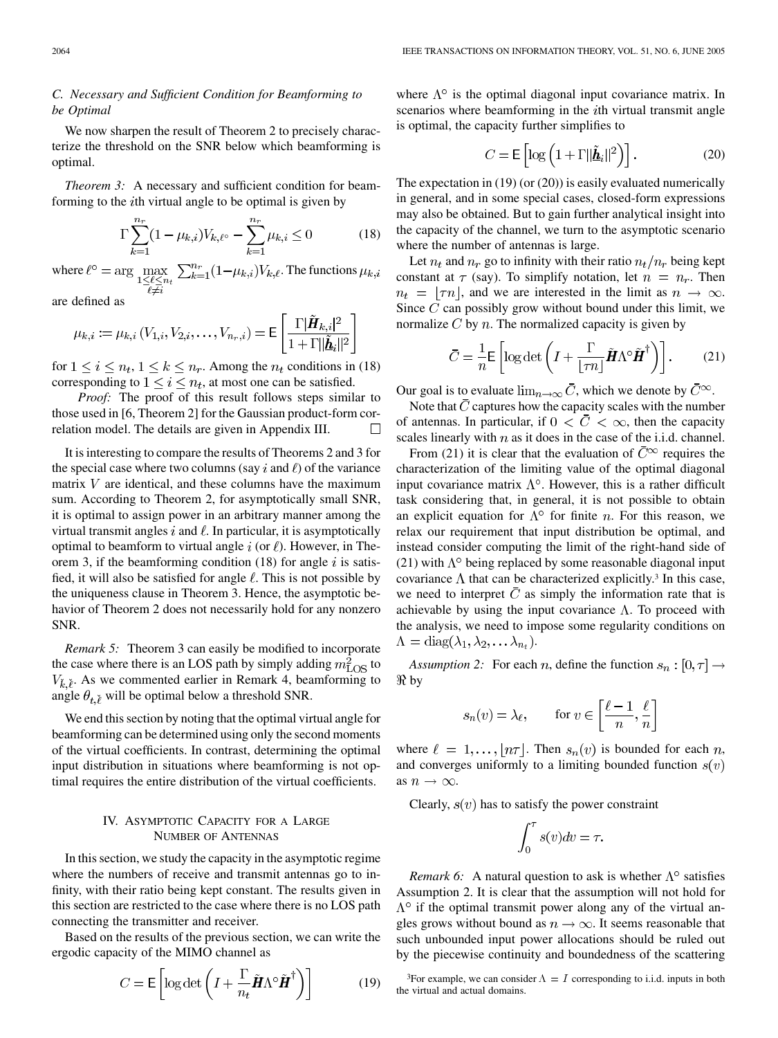# *C. Necessary and Sufficient Condition for Beamforming to be Optimal*

We now sharpen the result of Theorem 2 to precisely characterize the threshold on the SNR below which beamforming is optimal.

*Theorem 3:* A necessary and sufficient condition for beamforming to the  $i$ th virtual angle to be optimal is given by

$$
\Gamma \sum_{k=1}^{n_r} (1 - \mu_{k,i}) V_{k,\ell^{\circ}} - \sum_{k=1}^{n_r} \mu_{k,i} \le 0 \tag{18}
$$

where  $\ell^{\circ} = \arg\max_{\substack{1 \leq \ell \leq n_t \\ \ell \neq i}} \sum_{k=1}^{n_r} (1-\mu_{k,i}) V_{k,\ell}$ . The functions  $\mu_{k,i}$ 

are defined as

$$
\mu_{k,i} := \mu_{k,i} (V_{1,i}, V_{2,i}, \dots, V_{n_r,i}) = \mathsf{E} \left[ \frac{\Gamma |\tilde{\boldsymbol{H}}_{k,i}|^2}{1 + \Gamma ||\tilde{\boldsymbol{h}}_i||^2} \right]
$$

for  $1 \leq i \leq n_t$ ,  $1 \leq k \leq n_r$ . Among the  $n_t$  conditions in (18) corresponding to  $1 \le i \le n_t$ , at most one can be satisfied.

*Proof:* The proof of this result follows steps similar to those used in [[6,](#page-14-0) Theorem 2] for the Gaussian product-form correlation model. The details are given in Appendix III.  $\Box$ 

It is interesting to compare the results of Theorems 2 and 3 for the special case where two columns (say i and  $\ell$ ) of the variance matrix  $V$  are identical, and these columns have the maximum sum. According to Theorem 2, for asymptotically small SNR, it is optimal to assign power in an arbitrary manner among the virtual transmit angles i and  $\ell$ . In particular, it is asymptotically optimal to beamform to virtual angle  $i$  (or  $\ell$ ). However, in Theorem 3, if the beamforming condition (18) for angle  $i$  is satisfied, it will also be satisfied for angle  $\ell$ . This is not possible by the uniqueness clause in Theorem 3. Hence, the asymptotic behavior of Theorem 2 does not necessarily hold for any nonzero SNR.

*Remark 5:* Theorem 3 can easily be modified to incorporate the case where there is an LOS path by simply adding  $m_{\text{LOS}}^2$  to  $V_{\tilde{k},\tilde{\ell}}$ . As we commented earlier in Remark 4, beamforming to angle  $\theta_{t,\check{p}}$  will be optimal below a threshold SNR.

We end this section by noting that the optimal virtual angle for beamforming can be determined using only the second moments of the virtual coefficients. In contrast, determining the optimal input distribution in situations where beamforming is not optimal requires the entire distribution of the virtual coefficients.

# IV. ASYMPTOTIC CAPACITY FOR A LARGE NUMBER OF ANTENNAS

In this section, we study the capacity in the asymptotic regime where the numbers of receive and transmit antennas go to infinity, with their ratio being kept constant. The results given in this section are restricted to the case where there is no LOS path connecting the transmitter and receiver.

Based on the results of the previous section, we can write the ergodic capacity of the MIMO channel as

$$
C = \mathsf{E}\left[\log \det\left(I + \frac{\Gamma}{n_t}\tilde{\boldsymbol{H}}\Lambda^{\circ}\tilde{\boldsymbol{H}}^{\dagger}\right)\right]
$$
(19)

where  $\Lambda^{\circ}$  is the optimal diagonal input covariance matrix. In scenarios where beamforming in the  $i$ th virtual transmit angle is optimal, the capacity further simplifies to

$$
C = \mathsf{E}\left[\log\left(1 + \Gamma ||\tilde{\underline{\mathbf{h}}}_i||^2\right)\right].\tag{20}
$$

The expectation in (19) (or (20)) is easily evaluated numerically in general, and in some special cases, closed-form expressions may also be obtained. But to gain further analytical insight into the capacity of the channel, we turn to the asymptotic scenario where the number of antennas is large.

Let  $n_t$  and  $n_r$  go to infinity with their ratio  $n_t/n_r$  being kept constant at  $\tau$  (say). To simplify notation, let  $n = n_r$ . Then  $n_t = |\tau n|$ , and we are interested in the limit as  $n \to \infty$ . Since  $C$  can possibly grow without bound under this limit, we normalize  $C$  by  $n$ . The normalized capacity is given by

$$
\bar{C} = \frac{1}{n} \mathsf{E} \left[ \log \det \left( I + \frac{\Gamma}{\lfloor \tau n \rfloor} \tilde{H} \Lambda^{\circ} \tilde{H}^{\dagger} \right) \right].
$$
 (21)

Our goal is to evaluate  $\lim_{n\to\infty}\overline{C}$ , which we denote by  $\overline{C}^{\infty}$ .

Note that  $\bar{C}$  captures how the capacity scales with the number of antennas. In particular, if  $0 < \bar{C} < \infty$ , then the capacity scales linearly with  $n$  as it does in the case of the i.i.d. channel.

From (21) it is clear that the evaluation of  $\bar{C}^{\infty}$  requires the characterization of the limiting value of the optimal diagonal input covariance matrix  $\Lambda^{\circ}$ . However, this is a rather difficult task considering that, in general, it is not possible to obtain an explicit equation for  $\Lambda^{\circ}$  for finite n. For this reason, we relax our requirement that input distribution be optimal, and instead consider computing the limit of the right-hand side of (21) with  $\Lambda^{\circ}$  being replaced by some reasonable diagonal input covariance  $\Lambda$  that can be characterized explicitly.<sup>3</sup> In this case, we need to interpret  $\bar{C}$  as simply the information rate that is achievable by using the input covariance  $\Lambda$ . To proceed with the analysis, we need to impose some regularity conditions on  $\Lambda = \mathrm{diag}(\lambda_1, \lambda_2, \dots \lambda_{n_t}).$ 

*Assumption 2:* For each *n*, define the function  $s_n : [0, \tau] \rightarrow$  $\Re$  by

$$
s_n(v) = \lambda_\ell, \qquad \text{for } v \in \left[\frac{\ell-1}{n}, \frac{\ell}{n}\right]
$$

where  $\ell = 1, \ldots, |n\tau|$ . Then  $s_n(v)$  is bounded for each n, and converges uniformly to a limiting bounded function  $s(v)$ as  $n \to \infty$ .

Clearly,  $s(v)$  has to satisfy the power constraint

$$
\int_0^\tau s(v)dv = \tau.
$$

*Remark 6:* A natural question to ask is whether  $\Lambda^{\circ}$  satisfies Assumption 2. It is clear that the assumption will not hold for  $\Lambda^{\circ}$  if the optimal transmit power along any of the virtual angles grows without bound as  $n \to \infty$ . It seems reasonable that such unbounded input power allocations should be ruled out by the piecewise continuity and boundedness of the scattering

<sup>3</sup>For example, we can consider  $\Lambda = I$  corresponding to i.i.d. inputs in both the virtual and actual domains.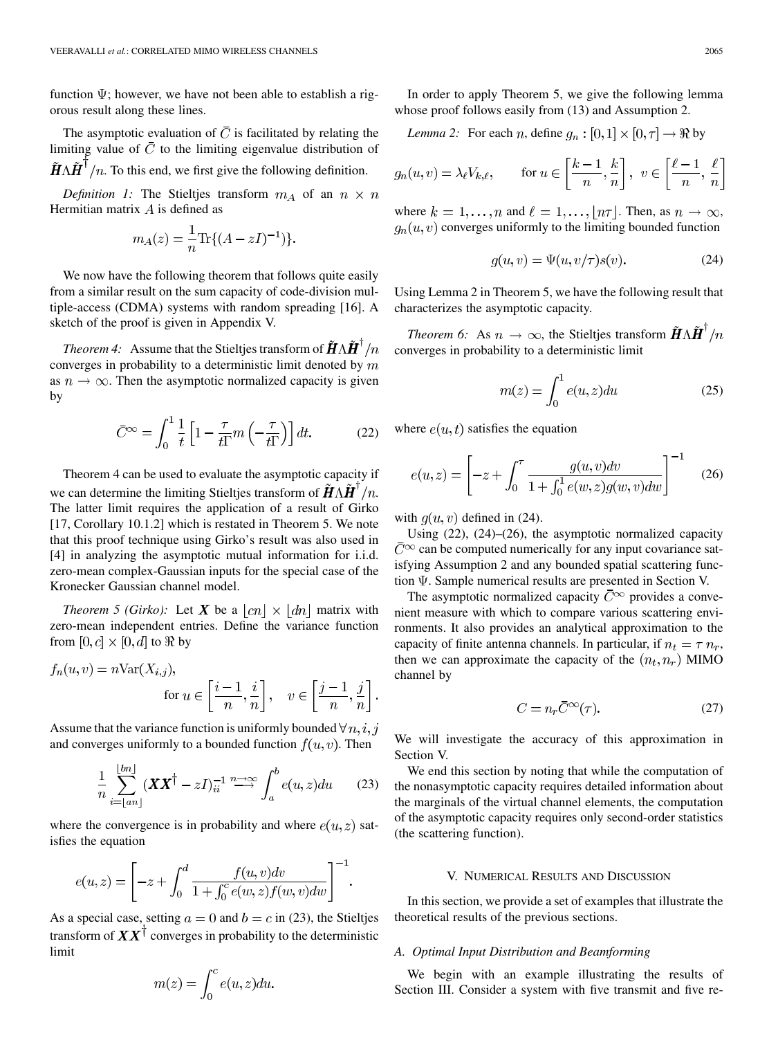function  $\Psi$ ; however, we have not been able to establish a rigorous result along these lines.

The asymptotic evaluation of  $\overline{C}$  is facilitated by relating the limiting value of  $\overline{C}$  to the limiting eigenvalue distribution of  $\tilde{H}\Lambda \tilde{H}^{\dagger}/n$ . To this end, we first give the following definition.

*Definition 1:* The Stieltjes transform  $m_A$  of an  $n \times n$ Hermitian matrix  $\vec{A}$  is defined as

$$
m_A(z) = \frac{1}{n} \text{Tr}\{(A - zI)^{-1}\}.
$$

We now have the following theorem that follows quite easily from a similar result on the sum capacity of code-division multiple-access (CDMA) systems with random spreading [[16\]](#page-14-0). A sketch of the proof is given in Appendix V.

*Theorem 4:* Assume that the Stieltjes transform of  $\tilde{H} \Lambda \tilde{H}'/n$ converges in probability to a deterministic limit denoted by  $m$ as  $n \to \infty$ . Then the asymptotic normalized capacity is given by

$$
\bar{C}^{\infty} = \int_0^1 \frac{1}{t} \left[ 1 - \frac{\tau}{t\Gamma} m\left(-\frac{\tau}{t\Gamma}\right) \right] dt. \tag{22}
$$

Theorem 4 can be used to evaluate the asymptotic capacity if we can determine the limiting Stieltjes transform of  $\tilde{H}\Lambda\tilde{H}^{\dagger}/n$ . The latter limit requires the application of a result of Girko [\[17](#page-14-0), Corollary 10.1.2] which is restated in Theorem 5. We note that this proof technique using Girko's result was also used in [\[4](#page-14-0)] in analyzing the asymptotic mutual information for i.i.d. zero-mean complex-Gaussian inputs for the special case of the Kronecker Gaussian channel model.

*Theorem 5 (Girko):* Let X be a  $\lfloor cn \rfloor \times \lfloor dn \rfloor$  matrix with zero-mean independent entries. Define the variance function from  $[0, c] \times [0, d]$  to  $\Re$  by

$$
f_n(u, v) = n \text{Var}(X_{i,j}),
$$
  
for  $u \in \left[\frac{i-1}{n}, \frac{i}{n}\right], v \in \left[\frac{j-1}{n}, \frac{j}{n}\right].$ 

Assume that the variance function is uniformly bounded  $\forall n, i, j$ and converges uniformly to a bounded function  $f(u, v)$ . Then

$$
\frac{1}{n} \sum_{i=\lfloor an \rfloor}^{\lfloor bn \rfloor} (\boldsymbol{X} \boldsymbol{X}^{\dagger} - z \boldsymbol{I})_{ii}^{-1} \stackrel{n \to \infty}{\longrightarrow} \int_{a}^{b} e(u, z) du \qquad (23)
$$

where the convergence is in probability and where  $e(u, z)$  satisfies the equation

$$
e(u, z) = \left[ -z + \int_0^d \frac{f(u, v)dv}{1 + \int_0^c e(w, z) f(w, v)dw} \right]^{-1}
$$

As a special case, setting  $a = 0$  and  $b = c$  in (23), the Stieltjes transform of  $XX^{\dagger}$  converges in probability to the deterministic limit

$$
m(z) = \int_0^c e(u, z) du
$$

In order to apply Theorem 5, we give the following lemma whose proof follows easily from (13) and Assumption 2.

*Lemma 2:* For each *n*, define  $g_n : [0,1] \times [0,\tau] \rightarrow \Re$  by

$$
g_n(u, v) = \lambda_\ell V_{k, \ell},
$$
 for  $u \in \left[\frac{k-1}{n}, \frac{k}{n}\right], v \in \left[\frac{\ell-1}{n}, \frac{\ell}{n}\right]$ 

where  $k = 1, ..., n$  and  $\ell = 1, ..., |n\tau|$ . Then, as  $n \to \infty$ ,  $g_n(u, v)$  converges uniformly to the limiting bounded function

$$
g(u, v) = \Psi(u, v/\tau)s(v).
$$
 (24)

Using Lemma 2 in Theorem 5, we have the following result that characterizes the asymptotic capacity.

*Theorem 6:* As  $n \to \infty$ , the Stieltjes transform  $\tilde{H} \Lambda \tilde{H}^{\dagger}/n$ converges in probability to a deterministic limit

$$
m(z) = \int_0^1 e(u, z) du
$$
 (25)

where  $e(u, t)$  satisfies the equation

$$
e(u, z) = \left[ -z + \int_0^{\tau} \frac{g(u, v)dv}{1 + \int_0^1 e(w, z)g(w, v)dw} \right]^{-1}
$$
 (26)

with  $q(u, v)$  defined in (24).

Using (22), (24)–(26), the asymptotic normalized capacity  $\overline{C}^{\infty}$  can be computed numerically for any input covariance satisfying Assumption 2 and any bounded spatial scattering function  $\Psi$ . Sample numerical results are presented in Section V.

The asymptotic normalized capacity  $\bar{C}^{\infty}$  provides a convenient measure with which to compare various scattering environments. It also provides an analytical approximation to the capacity of finite antenna channels. In particular, if  $n_t = \tau n_r$ , then we can approximate the capacity of the  $(n_t, n_r)$  MIMO channel by

$$
C = n_r \bar{C}^{\infty}(\tau). \tag{27}
$$

We will investigate the accuracy of this approximation in Section V.

We end this section by noting that while the computation of the nonasymptotic capacity requires detailed information about the marginals of the virtual channel elements, the computation of the asymptotic capacity requires only second-order statistics (the scattering function).

## V. NUMERICAL RESULTS AND DISCUSSION

In this section, we provide a set of examples that illustrate the theoretical results of the previous sections.

## *A. Optimal Input Distribution and Beamforming*

We begin with an example illustrating the results of Section III. Consider a system with five transmit and five re-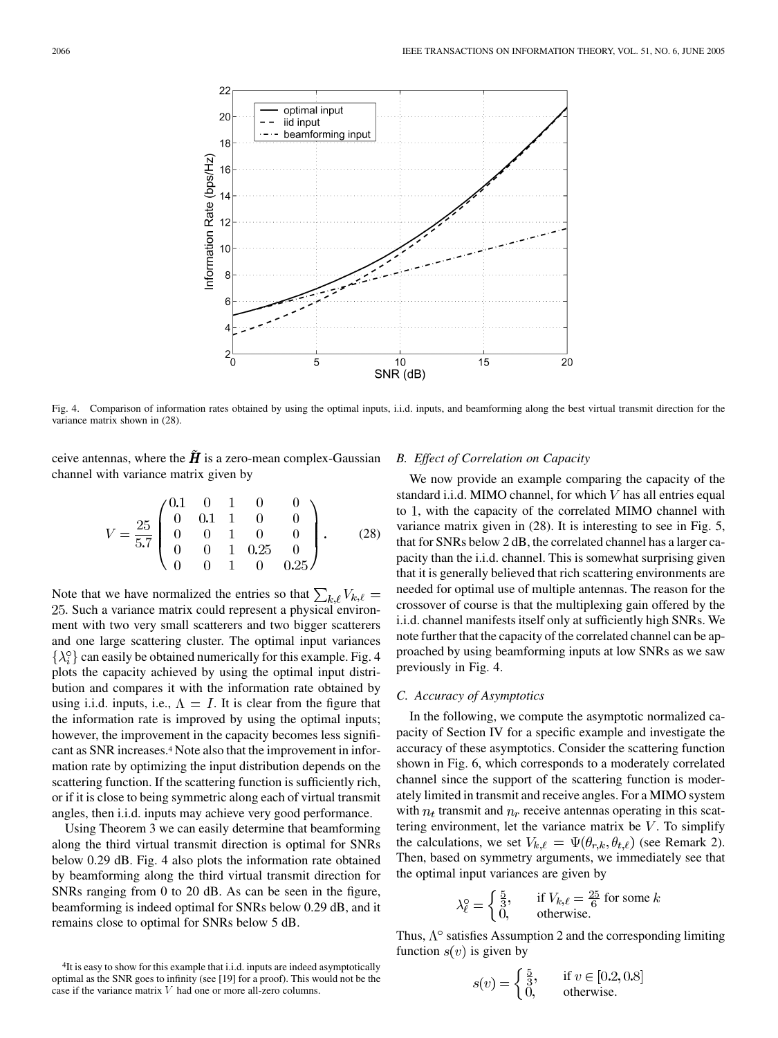

Fig. 4. Comparison of information rates obtained by using the optimal inputs, i.i.d. inputs, and beamforming along the best virtual transmit direction for the variance matrix shown in (28).

ceive antennas, where the  $\boldsymbol{H}$  is a zero-mean complex-Gaussian channel with variance matrix given by

$$
V = \frac{25}{5.7} \begin{pmatrix} 0.1 & 0 & 1 & 0 & 0 \\ 0 & 0.1 & 1 & 0 & 0 \\ 0 & 0 & 1 & 0 & 0 \\ 0 & 0 & 1 & 0.25 & 0 \\ 0 & 0 & 1 & 0 & 0.25 \end{pmatrix}.
$$
 (28)

Note that we have normalized the entries so that  $\sum_{k,\ell} V_{k,\ell} =$ . Such a variance matrix could represent a physical environment with two very small scatterers and two bigger scatterers and one large scattering cluster. The optimal input variances  $\{\lambda_i^{\circ}\}\$ can easily be obtained numerically for this example. Fig. 4 plots the capacity achieved by using the optimal input distribution and compares it with the information rate obtained by using i.i.d. inputs, i.e.,  $\Lambda = I$ . It is clear from the figure that the information rate is improved by using the optimal inputs; however, the improvement in the capacity becomes less significant as SNR increases.<sup>4</sup> Note also that the improvement in information rate by optimizing the input distribution depends on the scattering function. If the scattering function is sufficiently rich, or if it is close to being symmetric along each of virtual transmit angles, then i.i.d. inputs may achieve very good performance.

Using Theorem 3 we can easily determine that beamforming along the third virtual transmit direction is optimal for SNRs below 0.29 dB. Fig. 4 also plots the information rate obtained by beamforming along the third virtual transmit direction for SNRs ranging from 0 to 20 dB. As can be seen in the figure, beamforming is indeed optimal for SNRs below 0.29 dB, and it remains close to optimal for SNRs below 5 dB.

### *B. Effect of Correlation on Capacity*

We now provide an example comparing the capacity of the standard i.i.d. MIMO channel, for which  $V$  has all entries equal to 1, with the capacity of the correlated MIMO channel with variance matrix given in (28). It is interesting to see in Fig. 5, that for SNRs below 2 dB, the correlated channel has a larger capacity than the i.i.d. channel. This is somewhat surprising given that it is generally believed that rich scattering environments are needed for optimal use of multiple antennas. The reason for the crossover of course is that the multiplexing gain offered by the i.i.d. channel manifests itself only at sufficiently high SNRs. We note further that the capacity of the correlated channel can be approached by using beamforming inputs at low SNRs as we saw previously in Fig. 4.

## *C. Accuracy of Asymptotics*

In the following, we compute the asymptotic normalized capacity of Section IV for a specific example and investigate the accuracy of these asymptotics. Consider the scattering function shown in Fig. 6, which corresponds to a moderately correlated channel since the support of the scattering function is moderately limited in transmit and receive angles. For a MIMO system with  $n_t$  transmit and  $n_r$  receive antennas operating in this scattering environment, let the variance matrix be  $V$ . To simplify the calculations, we set  $V_{k,\ell} = \Psi(\theta_{r,k}, \theta_{t,\ell})$  (see Remark 2). Then, based on symmetry arguments, we immediately see that the optimal input variances are given by

$$
\lambda_{\ell}^{\circ} = \begin{cases} \frac{5}{3}, & \text{if } V_{k,\ell} = \frac{25}{6} \text{ for some } k\\ 0, & \text{otherwise.} \end{cases}
$$

Thus,  $\Lambda^{\circ}$  satisfies Assumption 2 and the corresponding limiting function  $s(v)$  is given by

$$
s(v) = \begin{cases} \frac{5}{3}, & \text{if } v \in [0.2, 0.8] \\ 0, & \text{otherwise.} \end{cases}
$$

<sup>&</sup>lt;sup>4</sup>It is easy to show for this example that i.i.d. inputs are indeed asymptotically optimal as the SNR goes to infinity (see [[19](#page-14-0)] for a proof). This would not be the case if the variance matrix V had one or more all-zero columns.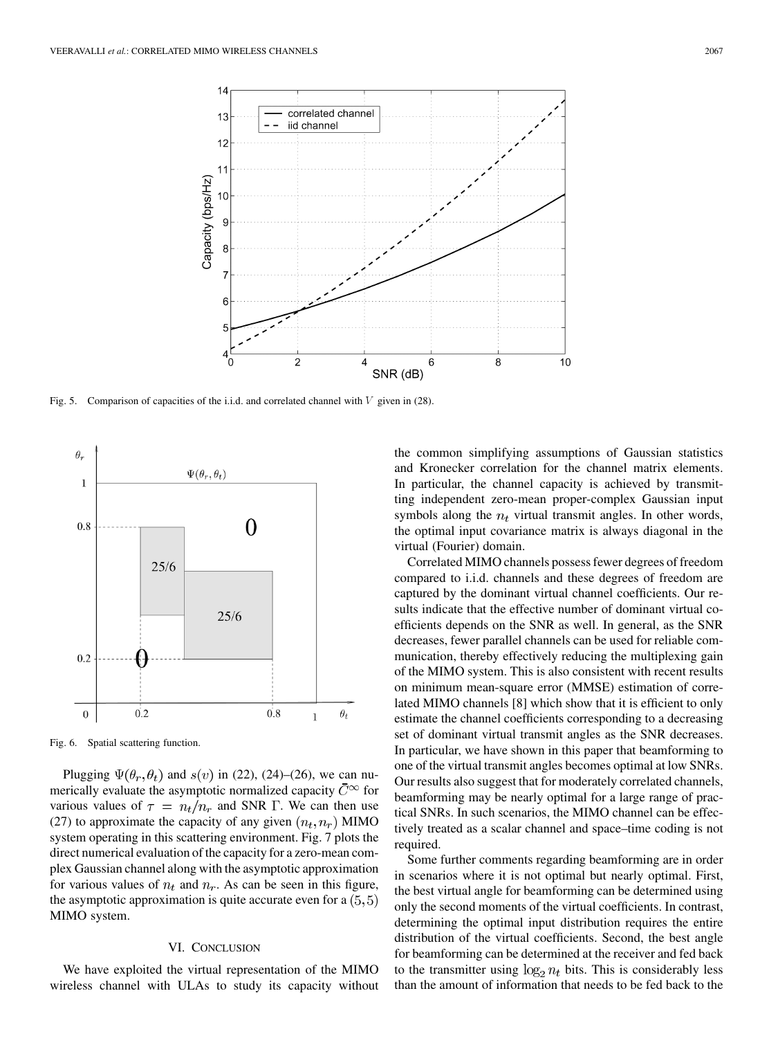

Fig. 5. Comparison of capacities of the i.i.d. and correlated channel with  $V$  given in (28).



Fig. 6. Spatial scattering function.

Plugging  $\Psi(\theta_r, \theta_t)$  and  $s(v)$  in (22), (24)–(26), we can numerically evaluate the asymptotic normalized capacity  $\bar{C}^{\infty}$  for various values of  $\tau = n_t/n_r$  and SNR  $\Gamma$ . We can then use (27) to approximate the capacity of any given  $(n_t, n_r)$  MIMO system operating in this scattering environment. Fig. 7 plots the direct numerical evaluation of the capacity for a zero-mean complex Gaussian channel along with the asymptotic approximation for various values of  $n_t$  and  $n_r$ . As can be seen in this figure, the asymptotic approximation is quite accurate even for a  $(5,5)$ MIMO system.

#### VI. CONCLUSION

We have exploited the virtual representation of the MIMO wireless channel with ULAs to study its capacity without the common simplifying assumptions of Gaussian statistics and Kronecker correlation for the channel matrix elements. In particular, the channel capacity is achieved by transmitting independent zero-mean proper-complex Gaussian input symbols along the  $n_t$  virtual transmit angles. In other words, the optimal input covariance matrix is always diagonal in the virtual (Fourier) domain.

Correlated MIMO channels possess fewer degrees of freedom compared to i.i.d. channels and these degrees of freedom are captured by the dominant virtual channel coefficients. Our results indicate that the effective number of dominant virtual coefficients depends on the SNR as well. In general, as the SNR decreases, fewer parallel channels can be used for reliable communication, thereby effectively reducing the multiplexing gain of the MIMO system. This is also consistent with recent results on minimum mean-square error (MMSE) estimation of correlated MIMO channels [\[8](#page-14-0)] which show that it is efficient to only estimate the channel coefficients corresponding to a decreasing set of dominant virtual transmit angles as the SNR decreases. In particular, we have shown in this paper that beamforming to one of the virtual transmit angles becomes optimal at low SNRs. Our results also suggest that for moderately correlated channels, beamforming may be nearly optimal for a large range of practical SNRs. In such scenarios, the MIMO channel can be effectively treated as a scalar channel and space–time coding is not required.

Some further comments regarding beamforming are in order in scenarios where it is not optimal but nearly optimal. First, the best virtual angle for beamforming can be determined using only the second moments of the virtual coefficients. In contrast, determining the optimal input distribution requires the entire distribution of the virtual coefficients. Second, the best angle for beamforming can be determined at the receiver and fed back to the transmitter using  $\log_2 n_t$  bits. This is considerably less than the amount of information that needs to be fed back to the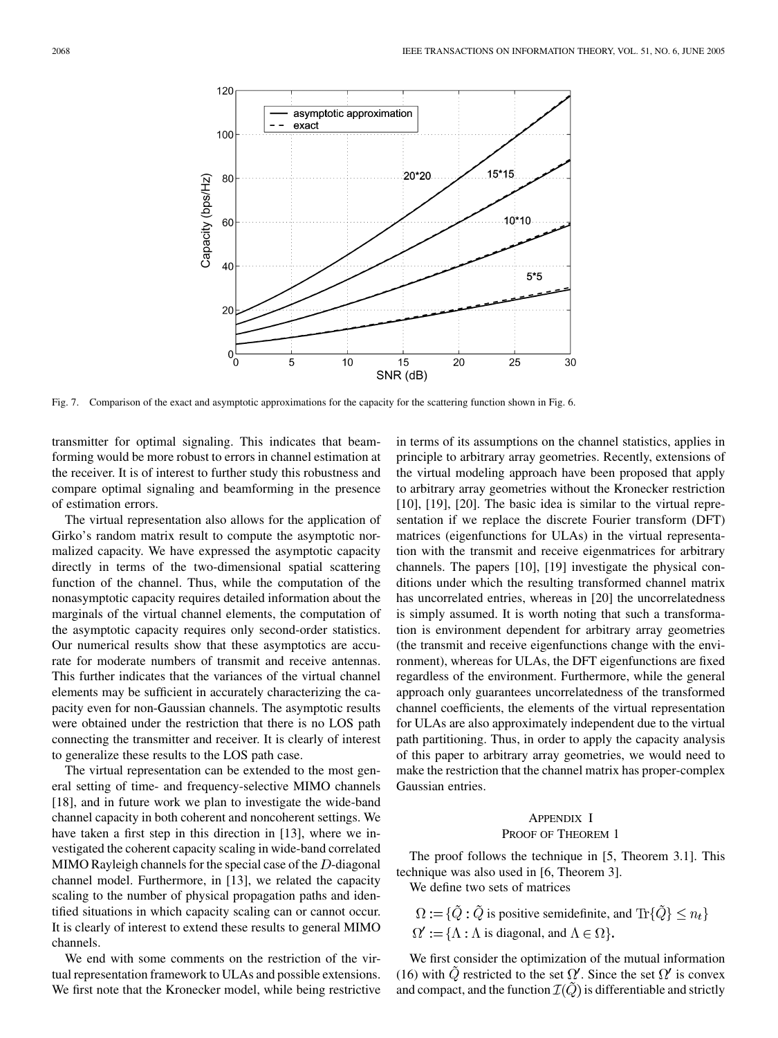

Fig. 7. Comparison of the exact and asymptotic approximations for the capacity for the scattering function shown in Fig. 6.

transmitter for optimal signaling. This indicates that beamforming would be more robust to errors in channel estimation at the receiver. It is of interest to further study this robustness and compare optimal signaling and beamforming in the presence of estimation errors.

The virtual representation also allows for the application of Girko's random matrix result to compute the asymptotic normalized capacity. We have expressed the asymptotic capacity directly in terms of the two-dimensional spatial scattering function of the channel. Thus, while the computation of the nonasymptotic capacity requires detailed information about the marginals of the virtual channel elements, the computation of the asymptotic capacity requires only second-order statistics. Our numerical results show that these asymptotics are accurate for moderate numbers of transmit and receive antennas. This further indicates that the variances of the virtual channel elements may be sufficient in accurately characterizing the capacity even for non-Gaussian channels. The asymptotic results were obtained under the restriction that there is no LOS path connecting the transmitter and receiver. It is clearly of interest to generalize these results to the LOS path case.

The virtual representation can be extended to the most general setting of time- and frequency-selective MIMO channels [[18\]](#page-14-0), and in future work we plan to investigate the wide-band channel capacity in both coherent and noncoherent settings. We have taken a first step in this direction in [[13\]](#page-14-0), where we investigated the coherent capacity scaling in wide-band correlated MIMO Rayleigh channels for the special case of the  $D$ -diagonal channel model. Furthermore, in [\[13](#page-14-0)], we related the capacity scaling to the number of physical propagation paths and identified situations in which capacity scaling can or cannot occur. It is clearly of interest to extend these results to general MIMO channels.

We end with some comments on the restriction of the virtual representation framework to ULAs and possible extensions. We first note that the Kronecker model, while being restrictive in terms of its assumptions on the channel statistics, applies in principle to arbitrary array geometries. Recently, extensions of the virtual modeling approach have been proposed that apply to arbitrary array geometries without the Kronecker restriction [[10\]](#page-14-0), [\[19](#page-14-0)], [[20\]](#page-14-0). The basic idea is similar to the virtual representation if we replace the discrete Fourier transform (DFT) matrices (eigenfunctions for ULAs) in the virtual representation with the transmit and receive eigenmatrices for arbitrary channels. The papers [\[10](#page-14-0)], [\[19](#page-14-0)] investigate the physical conditions under which the resulting transformed channel matrix has uncorrelated entries, whereas in [[20\]](#page-14-0) the uncorrelatedness is simply assumed. It is worth noting that such a transformation is environment dependent for arbitrary array geometries (the transmit and receive eigenfunctions change with the environment), whereas for ULAs, the DFT eigenfunctions are fixed regardless of the environment. Furthermore, while the general approach only guarantees uncorrelatedness of the transformed channel coefficients, the elements of the virtual representation for ULAs are also approximately independent due to the virtual path partitioning. Thus, in order to apply the capacity analysis of this paper to arbitrary array geometries, we would need to make the restriction that the channel matrix has proper-complex Gaussian entries.

# APPENDIX I PROOF OF THEOREM 1

The proof follows the technique in [\[5](#page-14-0), Theorem 3.1]. This technique was also used in [[6,](#page-14-0) Theorem 3].

We define two sets of matrices

 $\Omega := \{ \tilde{Q} : \tilde{Q}$  is positive semidefinite, and  $\text{Tr} \{ \tilde{Q} \} \leq n_t \}$  $\Omega' := {\Lambda : \Lambda \text{ is diagonal, and } \Lambda \in \Omega}.$ 

We first consider the optimization of the mutual information (16) with  $\tilde{Q}$  restricted to the set  $\Omega'$ . Since the set  $\Omega'$  is convex and compact, and the function  $\mathcal{I}(\tilde{Q})$  is differentiable and strictly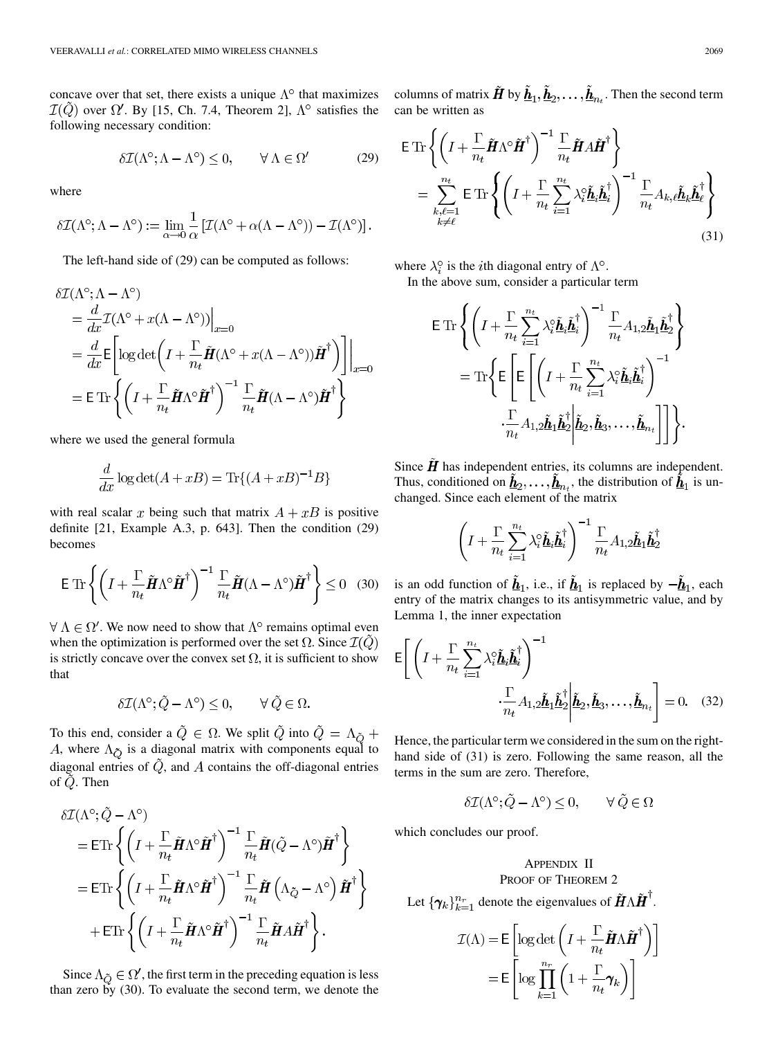concave over that set, there exists a unique  $\Lambda^{\circ}$  that maximizes  $\mathcal{I}(\tilde{Q})$  over  $\Omega'$ . By [[15,](#page-14-0) Ch. 7.4, Theorem 2],  $\Lambda^{\circ}$  satisfies the following necessary condition:

$$
\delta \mathcal{I}(\Lambda^{\circ}; \Lambda - \Lambda^{\circ}) \le 0, \qquad \forall \Lambda \in \Omega' \tag{29}
$$

where

$$
\delta \mathcal{I}(\Lambda^{\circ}; \Lambda - \Lambda^{\circ}) := \lim_{\alpha \to 0} \frac{1}{\alpha} \left[ \mathcal{I}(\Lambda^{\circ} + \alpha(\Lambda - \Lambda^{\circ})) - \mathcal{I}(\Lambda^{\circ}) \right].
$$

The left-hand side of (29) can be computed as follows:

$$
\delta \mathcal{I}(\Lambda^{\circ}; \Lambda - \Lambda^{\circ})
$$
\n
$$
= \frac{d}{dx} \mathcal{I}(\Lambda^{\circ} + x(\Lambda - \Lambda^{\circ}))\Big|_{x=0}
$$
\n
$$
= \frac{d}{dx} \mathsf{E}\Big[\log \det \bigg(I + \frac{\Gamma}{n_t}\tilde{\boldsymbol{H}}(\Lambda^{\circ} + x(\Lambda - \Lambda^{\circ}))\tilde{\boldsymbol{H}}^{\dagger}\bigg)\Big]\Big|_{x=0}
$$
\n
$$
= \mathsf{E} \operatorname{Tr} \bigg\{ \bigg(I + \frac{\Gamma}{n_t}\tilde{\boldsymbol{H}}\Lambda^{\circ}\tilde{\boldsymbol{H}}^{\dagger}\bigg)^{-1} \frac{\Gamma}{n_t}\tilde{\boldsymbol{H}}(\Lambda - \Lambda^{\circ})\tilde{\boldsymbol{H}}^{\dagger}\bigg\}
$$

where we used the general formula

$$
\frac{d}{dx}\log\det(A+xB) = \text{Tr}\{(A+xB)^{-1}B\}
$$

with real scalar x being such that matrix  $A + xB$  is positive definite [\[21](#page-14-0), Example A.3, p. 643]. Then the condition (29) becomes

$$
\mathsf{E} \operatorname{Tr} \left\{ \left( I + \frac{\Gamma}{n_t} \tilde{\boldsymbol{H}} \Lambda^{\circ} \tilde{\boldsymbol{H}}^{\dagger} \right)^{-1} \frac{\Gamma}{n_t} \tilde{\boldsymbol{H}} (\Lambda - \Lambda^{\circ}) \tilde{\boldsymbol{H}}^{\dagger} \right\} \leq 0 \quad (30)
$$

 $\forall \Lambda \in \Omega'$ . We now need to show that  $\Lambda^{\circ}$  remains optimal even when the optimization is performed over the set  $\Omega$ . Since  $\mathcal{I}(\tilde{Q})$ is strictly concave over the convex set  $\Omega$ , it is sufficient to show that

$$
\delta \mathcal{I}(\Lambda^{\circ}; \tilde{Q} - \Lambda^{\circ}) \le 0, \qquad \forall \, \tilde{Q} \in \Omega.
$$

To this end, consider a  $\tilde{Q} \in \Omega$ . We split  $\tilde{Q}$  into  $\tilde{Q} = \Lambda_{\tilde{Q}} +$ A, where  $\Lambda_{\tilde{Q}}$  is a diagonal matrix with components equal to diagonal entries of  $\tilde{Q}$ , and A contains the off-diagonal entries of  $\ddot{Q}$ . Then

$$
\delta \mathcal{I}(\Lambda^{\circ}; \tilde{Q} - \Lambda^{\circ})
$$
\n
$$
= \mathbb{E} \text{Tr} \left\{ \left( I + \frac{\Gamma}{n_t} \tilde{\boldsymbol{H}} \Lambda^{\circ} \tilde{\boldsymbol{H}}^{\dagger} \right)^{-1} \frac{\Gamma}{n_t} \tilde{\boldsymbol{H}} (\tilde{Q} - \Lambda^{\circ}) \tilde{\boldsymbol{H}}^{\dagger} \right\}
$$
\n
$$
= \mathbb{E} \text{Tr} \left\{ \left( I + \frac{\Gamma}{n_t} \tilde{\boldsymbol{H}} \Lambda^{\circ} \tilde{\boldsymbol{H}}^{\dagger} \right)^{-1} \frac{\Gamma}{n_t} \tilde{\boldsymbol{H}} \left( \Lambda_{\tilde{Q}} - \Lambda^{\circ} \right) \tilde{\boldsymbol{H}}^{\dagger} \right\}
$$
\n
$$
+ \mathbb{E} \text{Tr} \left\{ \left( I + \frac{\Gamma}{n_t} \tilde{\boldsymbol{H}} \Lambda^{\circ} \tilde{\boldsymbol{H}}^{\dagger} \right)^{-1} \frac{\Gamma}{n_t} \tilde{\boldsymbol{H}} A \tilde{\boldsymbol{H}}^{\dagger} \right\}.
$$

Since  $\Lambda_{\tilde{Q}} \in \Omega'$ , the first term in the preceding equation is less than zero by (30). To evaluate the second term, we denote the columns of matrix  $\tilde{H}$  by  $\underline{\tilde{h}}_1, \underline{\tilde{h}}_2, \ldots, \underline{\tilde{h}}_n$ . Then the second term can be written as

$$
\mathsf{E} \operatorname{Tr} \left\{ \left( I + \frac{\Gamma}{n_t} \tilde{\boldsymbol{H}} \Lambda^{\circ} \tilde{\boldsymbol{H}}^{\dagger} \right)^{-1} \frac{\Gamma}{n_t} \tilde{\boldsymbol{H}} A \tilde{\boldsymbol{H}}^{\dagger} \right\} \n= \sum_{\substack{k,\ell=1 \ k \neq \ell}}^{n_t} \mathsf{E} \operatorname{Tr} \left\{ \left( I + \frac{\Gamma}{n_t} \sum_{i=1}^{n_t} \lambda_i^{\circ} \tilde{\underline{\boldsymbol{h}}}_i \tilde{\underline{\boldsymbol{h}}}_i^{\dagger} \right)^{-1} \frac{\Gamma}{n_t} A_{k,\ell} \tilde{\underline{\boldsymbol{h}}}_k \tilde{\underline{\boldsymbol{h}}}_\ell^{\dagger} \right\} \tag{31}
$$

where  $\lambda_i^{\circ}$  is the *i*th diagonal entry of  $\Lambda^{\circ}$ .

In the above sum, consider a particular term

$$
\mathsf{E} \operatorname{Tr} \left\{ \left( I + \frac{\Gamma}{n_t} \sum_{i=1}^{n_t} \lambda_i^{\circ} \tilde{\underline{\mathbf{h}}}_i \tilde{\underline{\mathbf{h}}}^{\dagger}_i \right)^{-1} \frac{\Gamma}{n_t} A_{1,2} \tilde{\underline{\mathbf{h}}}_1 \tilde{\underline{\mathbf{h}}}_2^{\dagger} \right\} \n= \operatorname{Tr} \left\{ \mathsf{E} \left[ \mathsf{E} \left[ \left( I + \frac{\Gamma}{n_t} \sum_{i=1}^{n_t} \lambda_i^{\circ} \tilde{\underline{\mathbf{h}}}_i \tilde{\underline{\mathbf{h}}}^{\dagger}_i \right)^{-1} \right. \right. \n\cdot \frac{\Gamma}{n_t} A_{1,2} \tilde{\underline{\mathbf{h}}}_1 \tilde{\underline{\mathbf{h}}}_2^{\dagger} \left| \tilde{\underline{\mathbf{h}}}_2, \tilde{\underline{\mathbf{h}}}_3, \dots, \tilde{\underline{\mathbf{h}}}_{n_t} \right] \right] \right\}.
$$

Since  $H$  has independent entries, its columns are independent. Thus, conditioned on  $\underline{\tilde{h}}_2, \ldots, \underline{\tilde{h}}_{n_t}$ , the distribution of  $\underline{\tilde{h}}_1$  is unchanged. Since each element of the matrix

$$
\left(I + \frac{\Gamma}{n_t} \sum_{i=1}^{n_t} \lambda_i^{\circ} \tilde{\underline{\mathbf{h}}}_i \tilde{\underline{\mathbf{h}}}^{\dagger}_i\right)^{-1} \frac{\Gamma}{n_t} A_{1,2} \tilde{\underline{\mathbf{h}}}_1 \tilde{\underline{\mathbf{h}}}^{\dagger}_2
$$

is an odd function of  $\tilde{\mathbf{h}}_1$ , i.e., if  $\tilde{\mathbf{h}}_1$  is replaced by  $-\tilde{\mathbf{h}}_1$ , each entry of the matrix changes to its antisymmetric value, and by Lemma 1, the inner expectation

$$
\mathsf{E}\Bigg[\left(I + \frac{\Gamma}{n_t} \sum_{i=1}^{n_t} \lambda_i^{\circ} \tilde{\underline{\mathbf{h}}}_i \tilde{\underline{\mathbf{h}}}^{\dagger}_i\right)^{-1} \cdot \frac{\Gamma}{n_t} A_{1,2} \tilde{\underline{\mathbf{h}}}_1 \tilde{\underline{\mathbf{h}}}_2^{\dagger} \Big| \tilde{\underline{\mathbf{h}}}_2, \tilde{\underline{\mathbf{h}}}_3, \dots, \tilde{\underline{\mathbf{h}}}_{n_t}\Bigg] = 0. \quad (32)
$$

Hence, the particular term we considered in the sum on the righthand side of (31) is zero. Following the same reason, all the terms in the sum are zero. Therefore,

$$
\delta \mathcal{I}(\Lambda^{\circ}; \tilde{Q} - \Lambda^{\circ}) \le 0, \qquad \forall \, \tilde{Q} \in \Omega
$$

which concludes our proof.

APPENDIX II  
\nPROOF OF THEOREM 2  
\nLet 
$$
\{\gamma_k\}_{k=1}^{n_r}
$$
 denote the eigenvalues of  $\tilde{H}\Lambda \tilde{H}^{\dagger}$ .  
\n
$$
\mathcal{I}(\Lambda) = \mathsf{E} \left[ \log \det \left( I + \frac{\Gamma}{\tilde{H}} \Lambda \tilde{H}^{\dagger} \right) \right]
$$

$$
(\Lambda) = \mathsf{E}\left[\log \det \left(I + \frac{1}{n_t} \tilde{\mathbf{H}} \Lambda \tilde{\mathbf{H}}^\dagger\right)\right]
$$

$$
= \mathsf{E}\left[\log \prod_{k=1}^{n_r} \left(1 + \frac{\Gamma}{n_t} \gamma_k\right)\right]
$$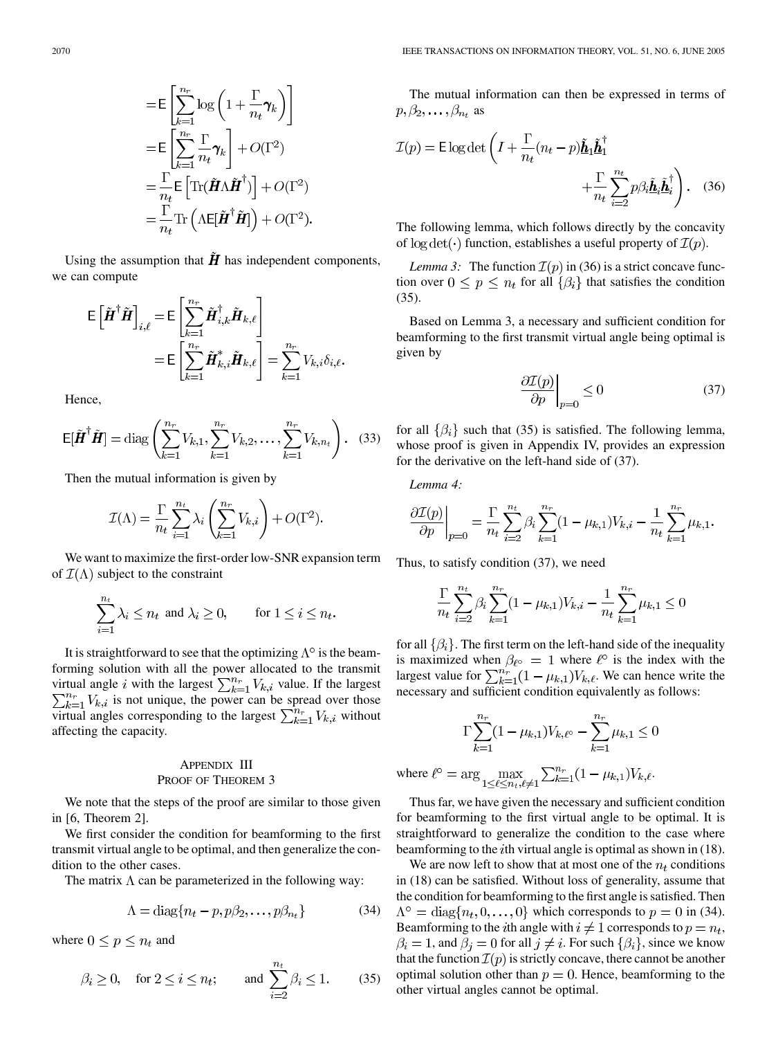$$
\begin{split}\n&= \mathsf{E}\left[\sum_{k=1}^{n_r} \log\left(1 + \frac{\Gamma}{n_t}\boldsymbol{\gamma}_k\right)\right] \\
&= \mathsf{E}\left[\sum_{k=1}^{n_r} \frac{\Gamma}{n_t}\boldsymbol{\gamma}_k\right] + O(\Gamma^2) \\
&= \frac{\Gamma}{n_t} \mathsf{E}\left[\text{Tr}(\tilde{\boldsymbol{H}} \Lambda \tilde{\boldsymbol{H}}^{\dagger})\right] + O(\Gamma^2) \\
&= \frac{\Gamma}{n_t} \text{Tr}\left(\Lambda \mathsf{E}[\tilde{\boldsymbol{H}}^{\dagger} \tilde{\boldsymbol{H}}]\right) + O(\Gamma^2).\n\end{split}
$$

Using the assumption that  $\tilde{H}$  has independent components, we can compute

$$
\mathsf{E}\left[\tilde{\boldsymbol{H}}^{\dagger}\tilde{\boldsymbol{H}}\right]_{i,\ell} = \mathsf{E}\left[\sum_{k=1}^{n_r} \tilde{\boldsymbol{H}}_{i,k}^{\dagger}\tilde{\boldsymbol{H}}_{k,\ell}\right] \\
= \mathsf{E}\left[\sum_{k=1}^{n_r} \tilde{\boldsymbol{H}}_{k,i}^*\tilde{\boldsymbol{H}}_{k,\ell}\right] = \sum_{k=1}^{n_r} V_{k,i} \delta_{i,\ell}.
$$

Hence,

$$
\mathsf{E}[\tilde{\bm{H}}^{\dagger}\tilde{\bm{H}}] = \text{diag}\left(\sum_{k=1}^{n_r} V_{k,1}, \sum_{k=1}^{n_r} V_{k,2}, \dots, \sum_{k=1}^{n_r} V_{k,n_t}\right). \quad (33)
$$

Then the mutual information is given by

$$
\mathcal{I}(\Lambda) = \frac{\Gamma}{n_t} \sum_{i=1}^{n_t} \lambda_i \left( \sum_{k=1}^{n_r} V_{k,i} \right) + O(\Gamma^2)
$$

We want to maximize the first-order low-SNR expansion term of  $\mathcal{I}(\Lambda)$  subject to the constraint

$$
\sum_{i=1}^{n_t} \lambda_i \le n_t \text{ and } \lambda_i \ge 0, \quad \text{for } 1 \le i \le n_t.
$$

It is straightforward to see that the optimizing  $\Lambda^{\circ}$  is the beamforming solution with all the power allocated to the transmit virtual angle i with the largest  $\sum_{k=1}^{n_r} V_{k,i}$  value. If the largest  $\sum_{k=1}^{n_r} V_{k,i}$  is not unique, the power can be spread over those virtual angles corresponding to the largest  $\sum_{k=1}^{n_r} V_{k,i}$  without affecting the capacity.

# APPENDIX III PROOF OF THEOREM 3

We note that the steps of the proof are similar to those given in [[6,](#page-14-0) Theorem 2].

We first consider the condition for beamforming to the first transmit virtual angle to be optimal, and then generalize the condition to the other cases.

The matrix  $\Lambda$  can be parameterized in the following way:

$$
\Lambda = \text{diag}\{n_t - p, p\beta_2, \dots, p\beta_{n_t}\}\tag{34}
$$

where  $0 \leq p \leq n_t$  and

$$
\beta_i \ge 0, \quad \text{for } 2 \le i \le n_t; \qquad \text{and } \sum_{i=2}^{n_t} \beta_i \le 1. \tag{35}
$$

The mutual information can then be expressed in terms of  $p, \beta_2, \ldots, \beta_{n_t}$  as

$$
\mathcal{I}(p) = \mathsf{E} \log \det \left( I + \frac{\Gamma}{n_t} (n_t - p) \tilde{\underline{\mathbf{h}}}_1 \tilde{\underline{\mathbf{h}}}_1^{\dagger} + \frac{\Gamma}{n_t} \sum_{i=2}^{n_t} p \beta_i \tilde{\underline{\mathbf{h}}}_i \tilde{\underline{\mathbf{h}}}_i^{\dagger} \right). \tag{36}
$$

The following lemma, which follows directly by the concavity of  $log \det(\cdot)$  function, establishes a useful property of  $\mathcal{I}(p)$ .

*Lemma 3:* The function  $\mathcal{I}(p)$  in (36) is a strict concave function over  $0 \le p \le n_t$  for all  $\{\beta_i\}$  that satisfies the condition (35).

Based on Lemma 3, a necessary and sufficient condition for beamforming to the first transmit virtual angle being optimal is given by

$$
\left. \frac{\partial \mathcal{I}(p)}{\partial p} \right|_{p=0} \le 0 \tag{37}
$$

for all  $\{\beta_i\}$  such that (35) is satisfied. The following lemma, whose proof is given in Appendix IV, provides an expression for the derivative on the left-hand side of (37).

*Lemma 4:*

$$
\frac{\partial \mathcal{I}(p)}{\partial p}\bigg|_{p=0} = \frac{\Gamma}{n_t} \sum_{i=2}^{n_t} \beta_i \sum_{k=1}^{n_r} (1 - \mu_{k,1}) V_{k,i} - \frac{1}{n_t} \sum_{k=1}^{n_r} \mu_{k,1}.
$$

Thus, to satisfy condition (37), we need

$$
\frac{\Gamma}{n_t} \sum_{i=2}^{n_t} \beta_i \sum_{k=1}^{n_r} (1 - \mu_{k,1}) V_{k,i} - \frac{1}{n_t} \sum_{k=1}^{n_r} \mu_{k,1} \le 0
$$

for all  $\{\beta_i\}$ . The first term on the left-hand side of the inequality is maximized when  $\beta_{\ell^{\circ}} = 1$  where  $\ell^{\circ}$  is the index with the largest value for  $\sum_{k=1}^{n_r} (1 - \mu_{k,1}) V_{k,\ell}$ . We can hence write the necessary and sufficient condition equivalently as follows:

$$
\Gamma \sum_{k=1}^{n_r} (1 - \mu_{k,1}) V_{k,\ell^{\circ}} - \sum_{k=1}^{n_r} \mu_{k,1} \le 0
$$

where  $\ell^{\circ} = \arg \max_{1 \leq \ell \leq n_{t}, \ell \neq 1} \sum_{k=1}^{n_{r}} (1 - \mu_{k,1}) V_{k,\ell}.$ 

Thus far, we have given the necessary and sufficient condition for beamforming to the first virtual angle to be optimal. It is straightforward to generalize the condition to the case where beamforming to the *i*th virtual angle is optimal as shown in  $(18)$ .

We are now left to show that at most one of the  $n_t$  conditions in (18) can be satisfied. Without loss of generality, assume that the condition for beamforming to the first angle is satisfied. Then  $\Lambda^{\circ} = \text{diag}\{n_t, 0, \ldots, 0\}$  which corresponds to  $p = 0$  in (34). Beamforming to the *i*th angle with  $i \neq 1$  corresponds to  $p = n_t$ ,  $\beta_i = 1$ , and  $\beta_j = 0$  for all  $j \neq i$ . For such  $\{\beta_i\}$ , since we know that the function  $\mathcal{I}(p)$  is strictly concave, there cannot be another optimal solution other than  $p = 0$ . Hence, beamforming to the other virtual angles cannot be optimal.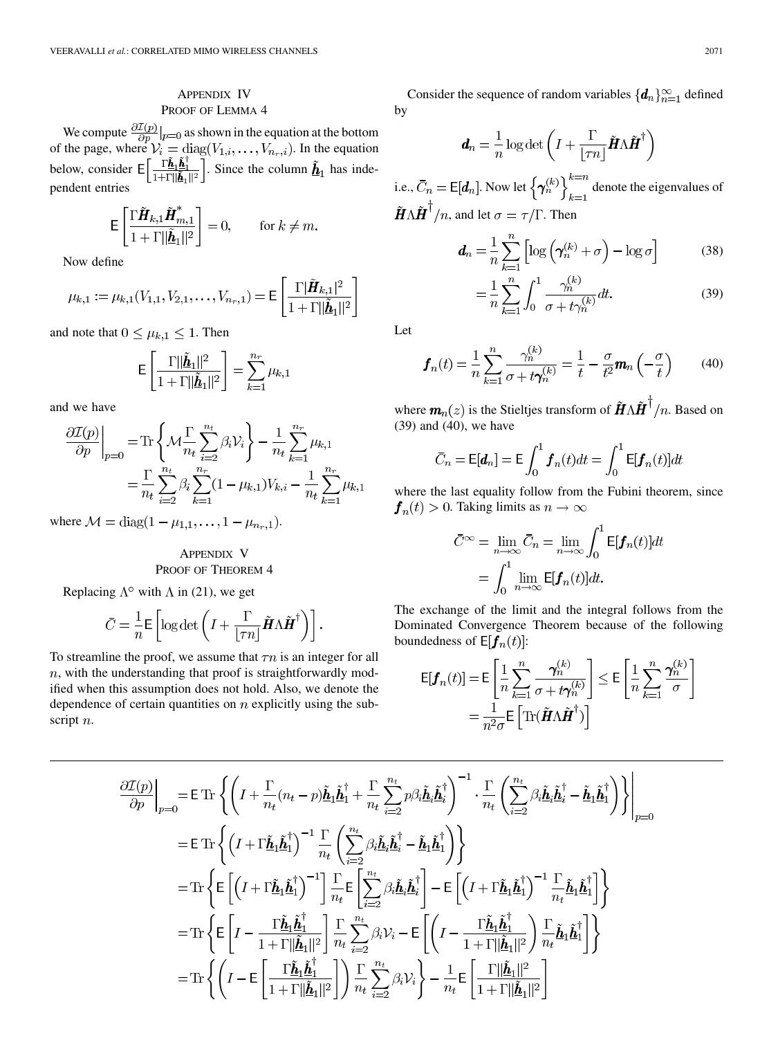# APPENDIX IV PROOF OF LEMMA 4

We compute  $\frac{\partial L(p)}{\partial n}|_{p=0}$  as shown in the equation at the bottom of the page, where  $V_i = diag(V_{1,i}, \ldots, V_{n_r,i})$ . In the equation below, consider  $E\left[\frac{\mu_1\mu_2}{1+\Gamma(\tilde{k})\mu_1}\right]$ . Since the column  $h_1$  has independent entries

$$
\mathsf{E}\left[\frac{\Gamma \tilde{\boldsymbol{H}}_{k,1} \tilde{\boldsymbol{H}}_{m,1}^*}{1+\Gamma ||\tilde{\underline{\boldsymbol{h}}}_1||^2}\right] = 0, \quad \text{for } k \neq m.
$$

Now define

$$
\mu_{k,1} := \mu_{k,1}(V_{1,1}, V_{2,1}, \dots, V_{n_r,1}) = \mathsf{E}\left[\frac{\Gamma|\tilde{\mathbf{H}}_{k,1}|^2}{1+\Gamma||\tilde{\mathbf{L}}_1||^2}\right]
$$

and note that  $0 \leq \mu_{k,1} \leq 1$ . Then

$$
\mathsf{E}\left[\frac{\Gamma||\tilde{\mathbf{h}}_1||^2}{1+\Gamma||\tilde{\mathbf{h}}_1||^2}\right] = \sum_{k=1}^{n_r} \mu_{k,1}
$$

and we have

$$
\frac{\partial \mathcal{I}(p)}{\partial p}\Big|_{p=0} = \text{Tr}\left\{\mathcal{M}\frac{\Gamma}{n_t}\sum_{i=2}^{n_t} \beta_i \mathcal{V}_i\right\} - \frac{1}{n_t} \sum_{k=1}^{n_r} \mu_{k,1} \n= \frac{\Gamma}{n_t}\sum_{i=2}^{n_t} \beta_i \sum_{k=1}^{n_r} (1 - \mu_{k,1}) V_{k,i} - \frac{1}{n_t} \sum_{k=1}^{n_r} \mu_{k,1}
$$

where  $\mathcal{M} = \text{diag}(1 - \mu_{1,1}, \dots, 1 - \mu_{n_r,1}).$ 

# APPENDIX V PROOF OF THEOREM 4

Replacing  $\Lambda^{\circ}$  with  $\Lambda$  in (21), we get

$$
\bar{C} = \frac{1}{n} \mathsf{E}\left[\log \det \left(I + \frac{\Gamma}{\lfloor \tau n \rfloor} \tilde{H} \Lambda \tilde{H}^{\dagger}\right)\right].
$$

To streamline the proof, we assume that  $\tau n$  is an integer for all  $n$ , with the understanding that proof is straightforwardly modified when this assumption does not hold. Also, we denote the dependence of certain quantities on  $n$  explicitly using the subscript  $n$ .

Consider the sequence of random variables  $\{d_n\}_{n=1}^{\infty}$  defined by

$$
\boldsymbol{d}_n = \frac{1}{n} \log \det \left( I + \frac{\Gamma}{\lfloor \tau n \rfloor} \tilde{\boldsymbol{H}} \Lambda \tilde{\boldsymbol{H}}^\dagger \right)
$$

i.e.,  $\bar{C}_n = \mathsf{E}[d_n]$ . Now let  $\left\{\gamma_n^{(k)}\right\}_{k=1}^{k=n}$  denote the eigenvalues of  $\tilde{H} \Lambda \tilde{H}^{\dagger}/n$ , and let  $\sigma = \tau/\Gamma$ . Then

$$
\boldsymbol{d}_n = \frac{1}{n} \sum_{k=1}^n \left[ \log \left( \boldsymbol{\gamma}_n^{(k)} + \sigma \right) - \log \sigma \right] \tag{38}
$$

$$
= \frac{1}{n} \sum_{k=1}^{n} \int_{0}^{1} \frac{\gamma_n^{(k)}}{\sigma + t \gamma_n^{(k)}} dt.
$$
 (39)

Let

$$
\boldsymbol{f}_n(t) = \frac{1}{n} \sum_{k=1}^n \frac{\gamma_n^{(k)}}{\sigma + t \gamma_n^{(k)}} = \frac{1}{t} - \frac{\sigma}{t^2} \boldsymbol{m}_n \left( -\frac{\sigma}{t} \right) \qquad (40)
$$

where  $\boldsymbol{m}_n(z)$  is the Stieltjes transform of  $\tilde{\boldsymbol{H}} \Lambda \tilde{\boldsymbol{H}}^\dagger/n$ . Based on (39) and (40), we have

$$
\bar{C}_n = \mathsf{E}[\boldsymbol{d}_n] = \mathsf{E} \int_0^1 \boldsymbol{f}_n(t) dt = \int_0^1 \mathsf{E}[\boldsymbol{f}_n(t)] dt
$$

where the last equality follow from the Fubini theorem, since  $f_n(t) > 0$ . Taking limits as  $n \to \infty$ 

$$
\bar{C}^{\infty} = \lim_{n \to \infty} \bar{C}_n = \lim_{n \to \infty} \int_0^1 \mathsf{E}[\mathbf{f}_n(t)] dt
$$

$$
= \int_0^1 \lim_{n \to \infty} \mathsf{E}[\mathbf{f}_n(t)] dt.
$$

The exchange of the limit and the integral follows from the Dominated Convergence Theorem because of the following boundedness of  $E[f_n(t)]$ :

$$
\mathsf{E}[\mathbf{f}_n(t)] = \mathsf{E}\left[\frac{1}{n}\sum_{k=1}^n \frac{\gamma_n^{(k)}}{\sigma + t\gamma_n^{(k)}}\right] \le \mathsf{E}\left[\frac{1}{n}\sum_{k=1}^n \frac{\gamma_n^{(k)}}{\sigma}\right]
$$

$$
= \frac{1}{n^2\sigma} \mathsf{E}\left[\text{Tr}(\tilde{\mathbf{H}}\Lambda \tilde{\mathbf{H}}^{\dagger})\right]
$$

$$
\frac{\partial \mathcal{I}(p)}{\partial p}\Big|_{p=0} = \mathsf{E} \operatorname{Tr}\Bigg\{\Bigg(I + \frac{\Gamma}{n_t}(n_t - p)\tilde{\underline{\mathbf{h}}}_1\tilde{\underline{\mathbf{h}}}_1^\dagger + \frac{\Gamma}{n_t}\sum_{i=2}^{n_t} p\beta_i\tilde{\underline{\mathbf{h}}}_i\tilde{\underline{\mathbf{h}}}_i^\dagger\Bigg)^{-1} \cdot \frac{\Gamma}{n_t}\Bigg(\sum_{i=2}^{n_t}\beta_i\tilde{\underline{\mathbf{h}}}_i\tilde{\underline{\mathbf{h}}}_i^\dagger - \tilde{\underline{\mathbf{h}}}_1\tilde{\underline{\mathbf{h}}}_1^\dagger\Bigg)\Bigg\}_{p=0}
$$
\n
$$
= \mathsf{E} \operatorname{Tr}\Bigg\{\Bigg(I + \Gamma\tilde{\underline{\mathbf{h}}}_1\tilde{\underline{\mathbf{h}}}_1^\dagger\Bigg)^{-1} \frac{\Gamma}{n_t}\Bigg(\sum_{i=2}^{n_t}\beta_i\tilde{\underline{\mathbf{h}}}_i\tilde{\underline{\mathbf{h}}}_i^\dagger - \tilde{\underline{\mathbf{h}}}_1\tilde{\underline{\mathbf{h}}}_1^\dagger\Bigg)\Bigg\}
$$
\n
$$
= \operatorname{Tr}\Bigg\{\mathsf{E}\Bigg[\Big(I + \Gamma\tilde{\underline{\mathbf{h}}}_1\tilde{\underline{\mathbf{h}}}_1^\dagger\Big)^{-1}\Bigg]\frac{\Gamma}{n_t}\mathsf{E}\Bigg[\sum_{i=2}^{n_t}\beta_i\tilde{\underline{\mathbf{h}}}_i\tilde{\underline{\mathbf{h}}}_i^\dagger\Bigg] - \mathsf{E}\Bigg[\Big(I + \Gamma\tilde{\underline{\mathbf{h}}}_1\tilde{\underline{\mathbf{h}}}_1^\dagger\Big)^{-1}\frac{\Gamma}{n_t}\tilde{\underline{\mathbf{h}}}_1\tilde{\underline{\mathbf{h}}}_1^\dagger\Bigg]\Bigg\}
$$
\n
$$
= \operatorname{Tr}\Bigg\{\mathsf{E}\Bigg[I - \frac{\Gamma\tilde{\underline{\mathbf{h}}}_1\tilde{\underline{\mathbf{h}}}_1^\dagger}{1 + \Gamma||\tilde{\underline{\mathbf{h}}}_1||^2}\Bigg]\frac{\Gamma}{n_t}\sum_{i=2}^{n_t}\beta_i\mathcal{V}_i - \mathsf{E}\Bigg[\Bigg(I - \frac{\Gamma\tilde{\underline{\
$$